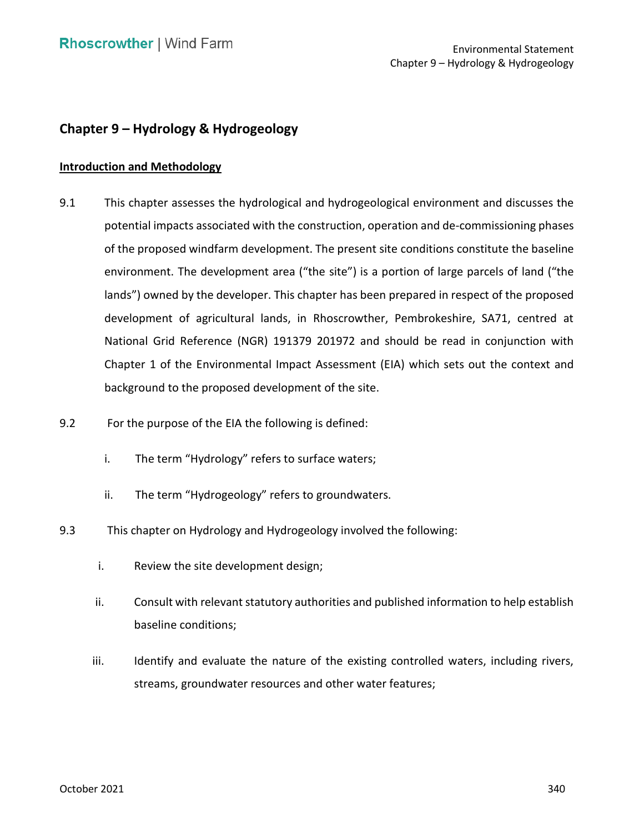# **Chapter 9 – Hydrology & Hydrogeology**

#### **Introduction and Methodology**

- 9.1 This chapter assesses the hydrological and hydrogeological environment and discusses the potential impacts associated with the construction, operation and de-commissioning phases of the proposed windfarm development. The present site conditions constitute the baseline environment. The development area ("the site") is a portion of large parcels of land ("the lands") owned by the developer. This chapter has been prepared in respect of the proposed development of agricultural lands, in Rhoscrowther, Pembrokeshire, SA71, centred at National Grid Reference (NGR) 191379 201972 and should be read in conjunction with Chapter 1 of the Environmental Impact Assessment (EIA) which sets out the context and background to the proposed development of the site.
- 9.2 For the purpose of the EIA the following is defined:
	- i. The term "Hydrology" refers to surface waters;
	- ii. The term "Hydrogeology" refers to groundwaters.
- 9.3 This chapter on Hydrology and Hydrogeology involved the following:
	- i. Review the site development design;
	- ii. Consult with relevant statutory authorities and published information to help establish baseline conditions;
	- iii. Identify and evaluate the nature of the existing controlled waters, including rivers, streams, groundwater resources and other water features;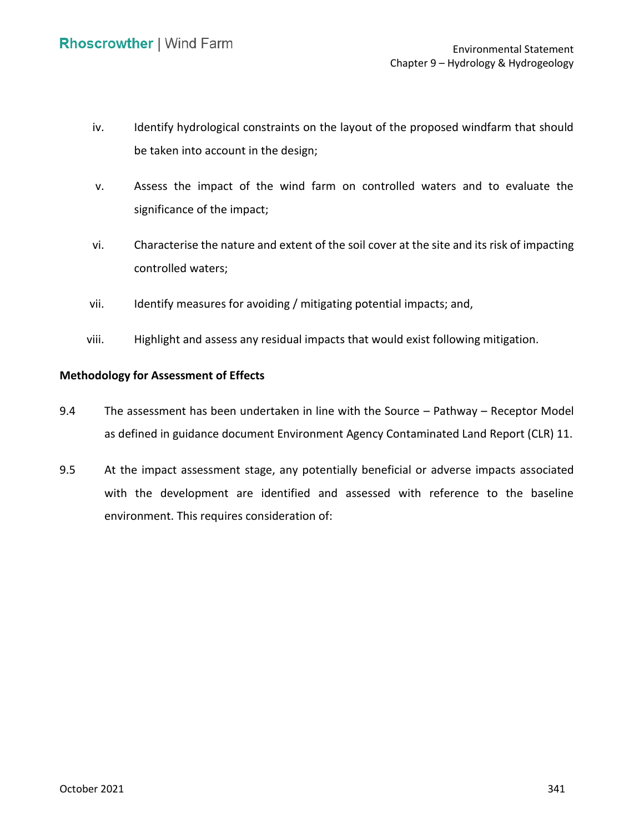- iv. Identify hydrological constraints on the layout of the proposed windfarm that should be taken into account in the design;
- v. Assess the impact of the wind farm on controlled waters and to evaluate the significance of the impact;
- vi. Characterise the nature and extent of the soil cover at the site and its risk of impacting controlled waters;
- vii. Identify measures for avoiding / mitigating potential impacts; and,
- viii. Highlight and assess any residual impacts that would exist following mitigation.

## **Methodology for Assessment of Effects**

- 9.4 The assessment has been undertaken in line with the Source Pathway Receptor Model as defined in guidance document Environment Agency Contaminated Land Report (CLR) 11.
- 9.5 At the impact assessment stage, any potentially beneficial or adverse impacts associated with the development are identified and assessed with reference to the baseline environment. This requires consideration of: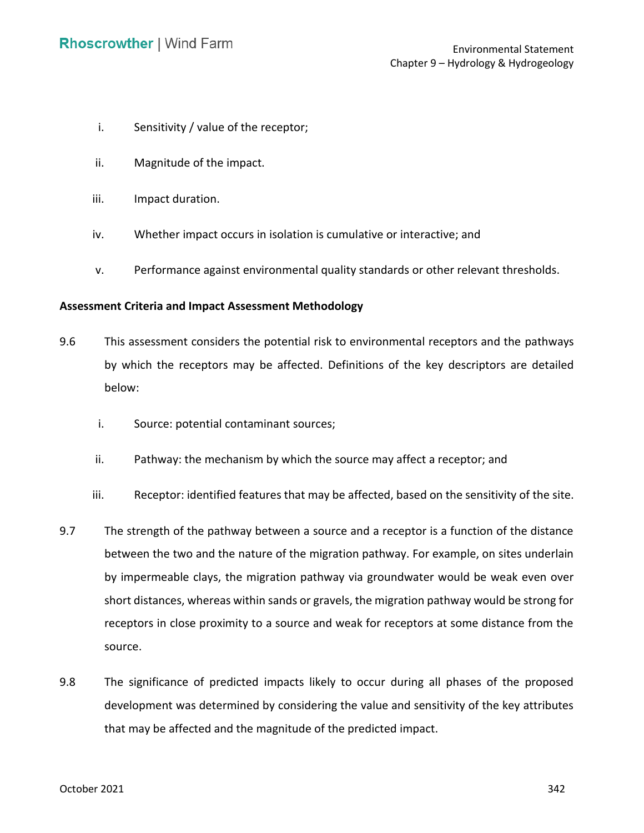- i. Sensitivity / value of the receptor;
- ii. Magnitude of the impact.
- iii. Impact duration.
- iv. Whether impact occurs in isolation is cumulative or interactive; and
- v. Performance against environmental quality standards or other relevant thresholds.

#### **Assessment Criteria and Impact Assessment Methodology**

- by which the receptors may be affected. Definitions of the key descriptors are detailed 9.6 This assessment considers the potential risk to environmental receptors and the pathways below:
	- i. Source: potential contaminant sources;
	- ii. Pathway: the mechanism by which the source may affect a receptor; and
	- iii. Receptor: identified features that may be affected, based on the sensitivity of the site.
- 9.7 The strength of the pathway between a source and a receptor is a function of the distance between the two and the nature of the migration pathway. For example, on sites underlain by impermeable clays, the migration pathway via groundwater would be weak even over receptors in close proximity to a source and weak for receptors at some distance from the short distances, whereas within sands or gravels, the migration pathway would be strong for source.
- 9.8 The significance of predicted impacts likely to occur during all phases of the proposed development was determined by considering the value and sensitivity of the key attributes that may be affected and the magnitude of the predicted impact.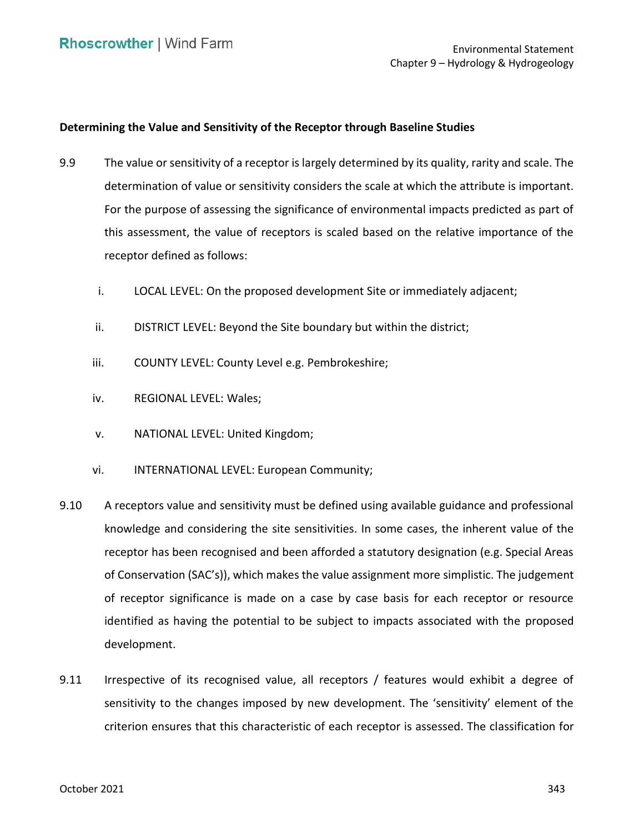## **Determining the Value and Sensitivity of the Receptor through Baseline Studies**

- 9.9 The value or sensitivity of a receptor is largely determined by its quality, rarity and scale. The determination of value or sensitivity considers the scale at which the attribute is important. For the purpose of assessing the significance of environmental impacts predicted as part of this assessment, the value of receptors is scaled based on the relative importance of the receptor defined as follows:
	- i. LOCAL LEVEL: On the proposed development Site or immediately adjacent;
	- ii. DISTRICT LEVEL: Beyond the Site boundary but within the district;
	- iii. COUNTY LEVEL: County Level e.g. Pembrokeshire;
	- iv. REGIONAL LEVEL: Wales;
	- v. NATIONAL LEVEL: United Kingdom;
	- vi. INTERNATIONAL LEVEL: European Community;
- 9.10 A receptors value and sensitivity must be defined using available guidance and professional knowledge and considering the site sensitivities. In some cases, the inherent value of the receptor has been recognised and been afforded a statutory designation (e.g. Special Areas of receptor significance is made on a case by case basis for each receptor or resource identified as having the potential to be subject to impacts associated with the proposed of Conservation (SAC's)), which makes the value assignment more simplistic. The judgement development.
- 9.11 Irrespective of its recognised value, all receptors / features would exhibit a degree of sensitivity to the changes imposed by new development. The 'sensitivity' element of the criterion ensures that this characteristic of each receptor is assessed. The classification for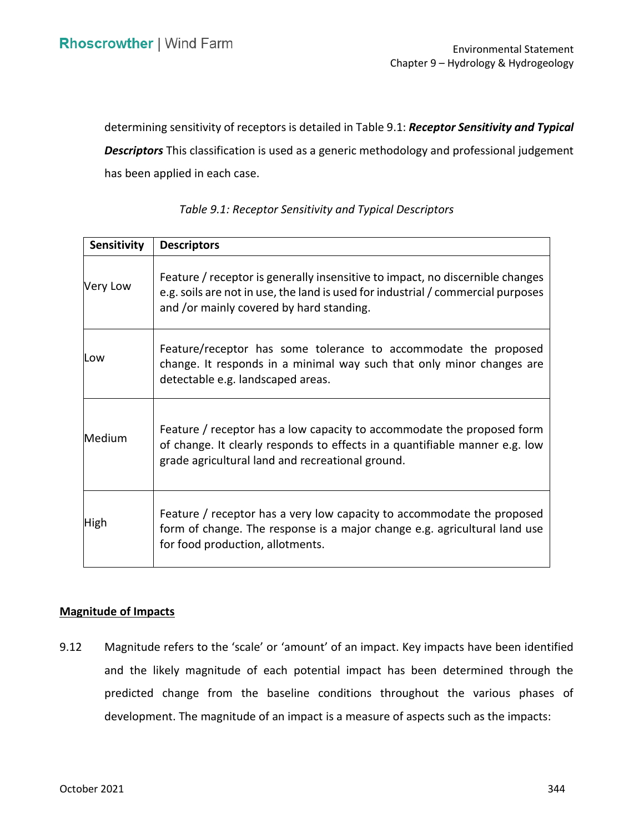determining sensitivity of receptors is detailed in Table 9.1: *[Receptor Sensitivity and Typical](#page-4-0)* 

 *[Descriptors](#page-4-0)* This classification is used as a generic methodology and professional judgement has been applied in each case.

<span id="page-4-0"></span>

| Sensitivity | <b>Descriptors</b>                                                                                                                                                                                            |
|-------------|---------------------------------------------------------------------------------------------------------------------------------------------------------------------------------------------------------------|
| Very Low    | Feature / receptor is generally insensitive to impact, no discernible changes<br>e.g. soils are not in use, the land is used for industrial / commercial purposes<br>and /or mainly covered by hard standing. |
| Low         | Feature/receptor has some tolerance to accommodate the proposed<br>change. It responds in a minimal way such that only minor changes are<br>detectable e.g. landscaped areas.                                 |
| Medium      | Feature / receptor has a low capacity to accommodate the proposed form<br>of change. It clearly responds to effects in a quantifiable manner e.g. low<br>grade agricultural land and recreational ground.     |
| High        | Feature / receptor has a very low capacity to accommodate the proposed<br>form of change. The response is a major change e.g. agricultural land use<br>for food production, allotments.                       |

# *Table 9.1: Receptor Sensitivity and Typical Descriptors*

### **Magnitude of Impacts**

 9.12 Magnitude refers to the 'scale' or 'amount' of an impact. Key impacts have been identified and the likely magnitude of each potential impact has been determined through the predicted change from the baseline conditions throughout the various phases of development. The magnitude of an impact is a measure of aspects such as the impacts: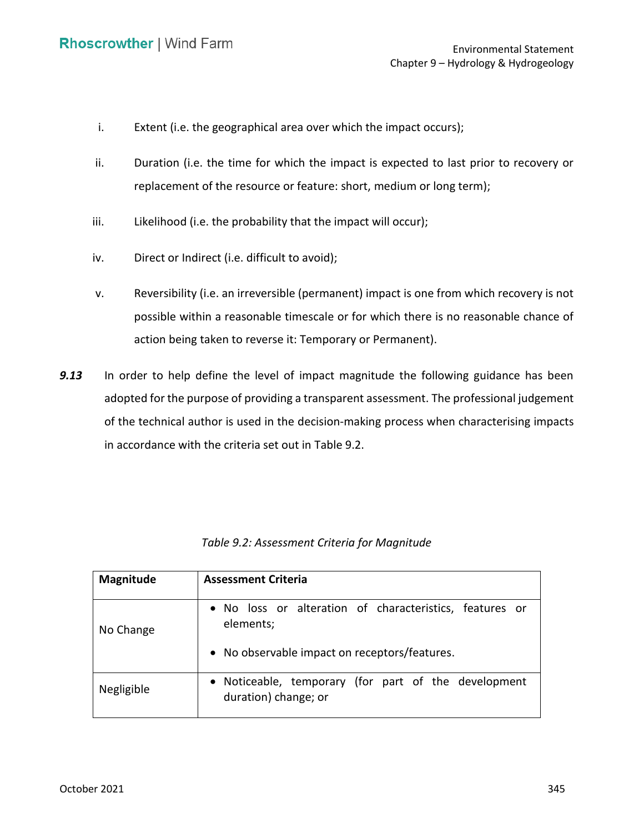- i. Extent (i.e. the geographical area over which the impact occurs);
- ii. Duration (i.e. the time for which the impact is expected to last prior to recovery or replacement of the resource or feature: short, medium or long term);
- iii. Likelihood (i.e. the probability that the impact will occur);
- iv. Direct or Indirect (i.e. difficult to avoid);
- v. Reversibility (i.e. an irreversible (permanent) impact is one from which recovery is not possible within a reasonable timescale or for which there is no reasonable chance of action being taken to reverse it: Temporary or Permanent).
- *9.13* In order to help define the level of impact magnitude the following guidance has been adopted for the purpose of providing a transparent assessment. The professional judgement of the technical author is used in the decision-making process when characterising impacts in accordance with the criteria set out in Table 9.2.

| <b>Magnitude</b> | <b>Assessment Criteria</b>                                                                                            |
|------------------|-----------------------------------------------------------------------------------------------------------------------|
| No Change        | . No loss or alteration of characteristics, features or<br>elements;<br>• No observable impact on receptors/features. |
| Negligible       | • Noticeable, temporary (for part of the development<br>duration) change; or                                          |

 *Table 9.2: Assessment Criteria for Magnitude*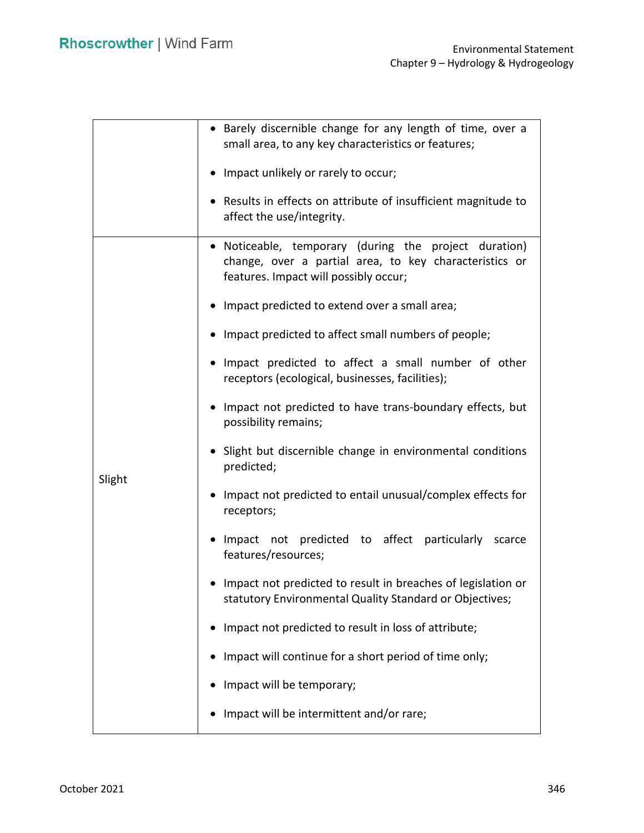|        | • Barely discernible change for any length of time, over a<br>small area, to any key characteristics or features;                                        |  |  |  |
|--------|----------------------------------------------------------------------------------------------------------------------------------------------------------|--|--|--|
|        | • Impact unlikely or rarely to occur;                                                                                                                    |  |  |  |
|        | Results in effects on attribute of insufficient magnitude to<br>affect the use/integrity.                                                                |  |  |  |
|        | • Noticeable, temporary (during the project duration)<br>change, over a partial area, to key characteristics or<br>features. Impact will possibly occur; |  |  |  |
|        | • Impact predicted to extend over a small area;                                                                                                          |  |  |  |
|        | • Impact predicted to affect small numbers of people;                                                                                                    |  |  |  |
|        | • Impact predicted to affect a small number of other<br>receptors (ecological, businesses, facilities);                                                  |  |  |  |
|        | Impact not predicted to have trans-boundary effects, but<br>possibility remains;                                                                         |  |  |  |
| Slight | • Slight but discernible change in environmental conditions<br>predicted;                                                                                |  |  |  |
|        | Impact not predicted to entail unusual/complex effects for<br>receptors;                                                                                 |  |  |  |
|        | Impact not predicted to affect particularly scarce<br>features/resources;                                                                                |  |  |  |
|        | • Impact not predicted to result in breaches of legislation or<br>statutory Environmental Quality Standard or Objectives;                                |  |  |  |
|        | Impact not predicted to result in loss of attribute;                                                                                                     |  |  |  |
|        | Impact will continue for a short period of time only;                                                                                                    |  |  |  |
|        | Impact will be temporary;                                                                                                                                |  |  |  |
|        | Impact will be intermittent and/or rare;                                                                                                                 |  |  |  |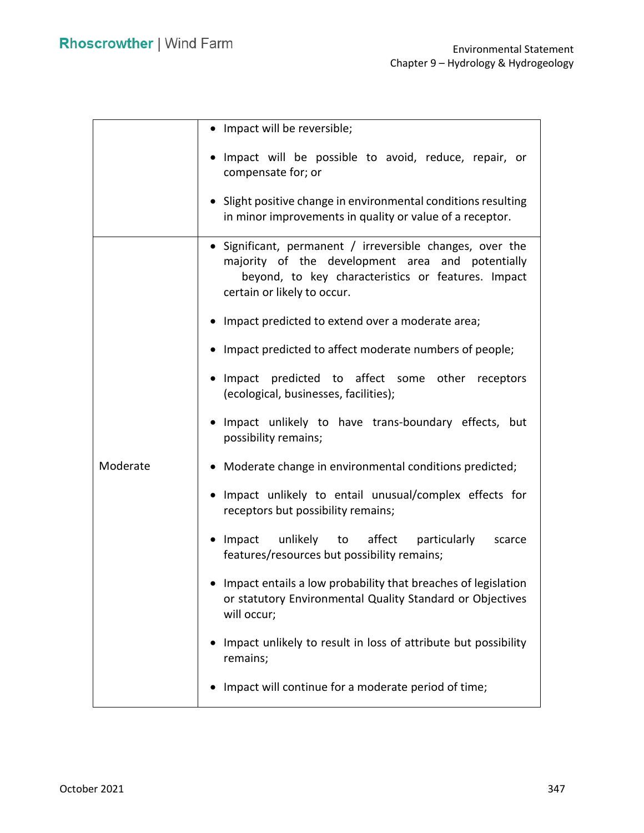|          | • Impact will be reversible;                                                                                                                                                                       |  |  |  |
|----------|----------------------------------------------------------------------------------------------------------------------------------------------------------------------------------------------------|--|--|--|
|          | Impact will be possible to avoid, reduce, repair, or<br>compensate for; or                                                                                                                         |  |  |  |
|          | • Slight positive change in environmental conditions resulting<br>in minor improvements in quality or value of a receptor.                                                                         |  |  |  |
|          | • Significant, permanent / irreversible changes, over the<br>majority of the development area and potentially<br>beyond, to key characteristics or features. Impact<br>certain or likely to occur. |  |  |  |
|          | • Impact predicted to extend over a moderate area;                                                                                                                                                 |  |  |  |
|          | Impact predicted to affect moderate numbers of people;                                                                                                                                             |  |  |  |
|          | Impact predicted to affect some other receptors<br>(ecological, businesses, facilities);                                                                                                           |  |  |  |
|          | Impact unlikely to have trans-boundary effects, but<br>possibility remains;                                                                                                                        |  |  |  |
| Moderate | • Moderate change in environmental conditions predicted;                                                                                                                                           |  |  |  |
|          | • Impact unlikely to entail unusual/complex effects for<br>receptors but possibility remains;                                                                                                      |  |  |  |
|          | affect<br>Impact<br>unlikely<br>particularly<br>to<br>scarce<br>features/resources but possibility remains;                                                                                        |  |  |  |
|          | Impact entails a low probability that breaches of legislation<br>or statutory Environmental Quality Standard or Objectives<br>will occur;                                                          |  |  |  |
|          | Impact unlikely to result in loss of attribute but possibility<br>remains;                                                                                                                         |  |  |  |
|          | Impact will continue for a moderate period of time;                                                                                                                                                |  |  |  |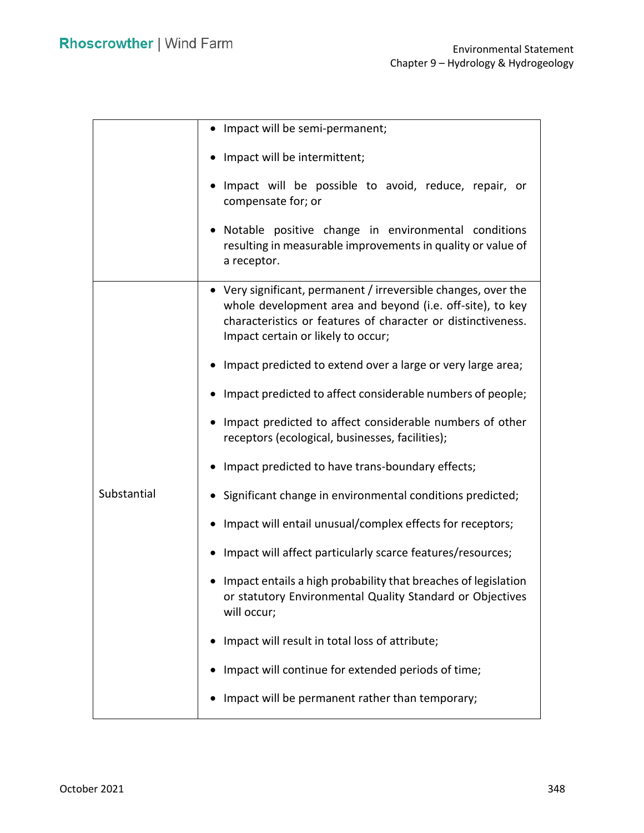|             | • Impact will be semi-permanent;                                                                                                                                                                                                  |  |  |
|-------------|-----------------------------------------------------------------------------------------------------------------------------------------------------------------------------------------------------------------------------------|--|--|
|             | Impact will be intermittent;                                                                                                                                                                                                      |  |  |
|             | Impact will be possible to avoid, reduce, repair, or<br>compensate for; or                                                                                                                                                        |  |  |
|             | Notable positive change in environmental conditions<br>resulting in measurable improvements in quality or value of<br>a receptor.                                                                                                 |  |  |
|             | • Very significant, permanent / irreversible changes, over the<br>whole development area and beyond (i.e. off-site), to key<br>characteristics or features of character or distinctiveness.<br>Impact certain or likely to occur; |  |  |
|             | Impact predicted to extend over a large or very large area;                                                                                                                                                                       |  |  |
|             | Impact predicted to affect considerable numbers of people;                                                                                                                                                                        |  |  |
|             | Impact predicted to affect considerable numbers of other<br>receptors (ecological, businesses, facilities);                                                                                                                       |  |  |
|             | Impact predicted to have trans-boundary effects;                                                                                                                                                                                  |  |  |
| Substantial | Significant change in environmental conditions predicted;                                                                                                                                                                         |  |  |
|             | Impact will entail unusual/complex effects for receptors;                                                                                                                                                                         |  |  |
|             | Impact will affect particularly scarce features/resources;                                                                                                                                                                        |  |  |
|             | Impact entails a high probability that breaches of legislation<br>or statutory Environmental Quality Standard or Objectives<br>will occur;                                                                                        |  |  |
|             | Impact will result in total loss of attribute;                                                                                                                                                                                    |  |  |
|             | Impact will continue for extended periods of time;                                                                                                                                                                                |  |  |
|             | Impact will be permanent rather than temporary;                                                                                                                                                                                   |  |  |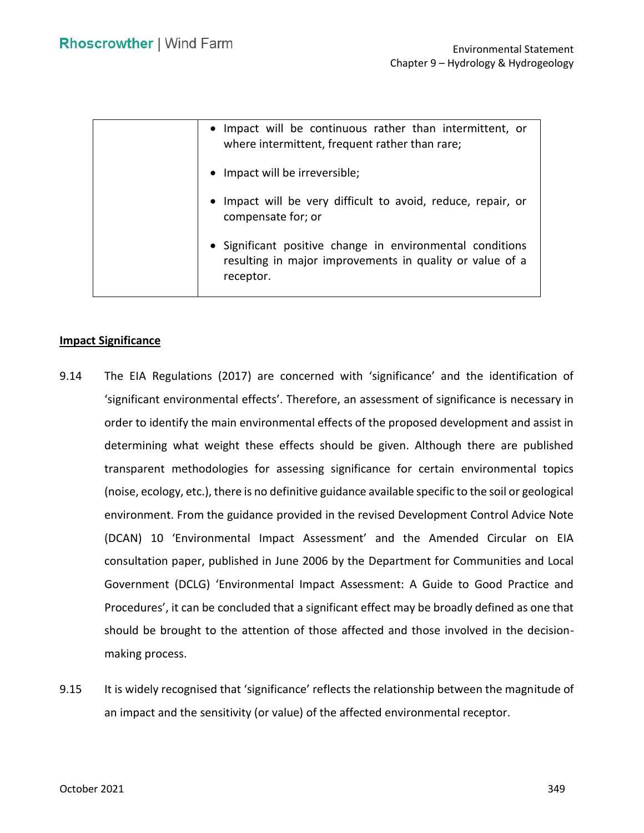| • Impact will be continuous rather than intermittent, or<br>where intermittent, frequent rather than rare;                         |
|------------------------------------------------------------------------------------------------------------------------------------|
| • Impact will be irreversible;                                                                                                     |
| • Impact will be very difficult to avoid, reduce, repair, or<br>compensate for; or                                                 |
| • Significant positive change in environmental conditions<br>resulting in major improvements in quality or value of a<br>receptor. |

#### **Impact Significance**

- 9.14 The EIA Regulations (2017) are concerned with 'significance' and the identification of 'significant environmental effects'. Therefore, an assessment of significance is necessary in order to identify the main environmental effects of the proposed development and assist in determining what weight these effects should be given. Although there are published (noise, ecology, etc.), there is no definitive guidance available specific to the soil or geological environment. From the guidance provided in the revised Development Control Advice Note (DCAN) 10 'Environmental Impact Assessment' and the Amended Circular on EIA consultation paper, published in June 2006 by the Department for Communities and Local Government (DCLG) 'Environmental Impact Assessment: A Guide to Good Practice and Procedures', it can be concluded that a significant effect may be broadly defined as one that should be brought to the attention of those affected and those involved in the decisiontransparent methodologies for assessing significance for certain environmental topics making process.
- 9.15 It is widely recognised that 'significance' reflects the relationship between the magnitude of an impact and the sensitivity (or value) of the affected environmental receptor.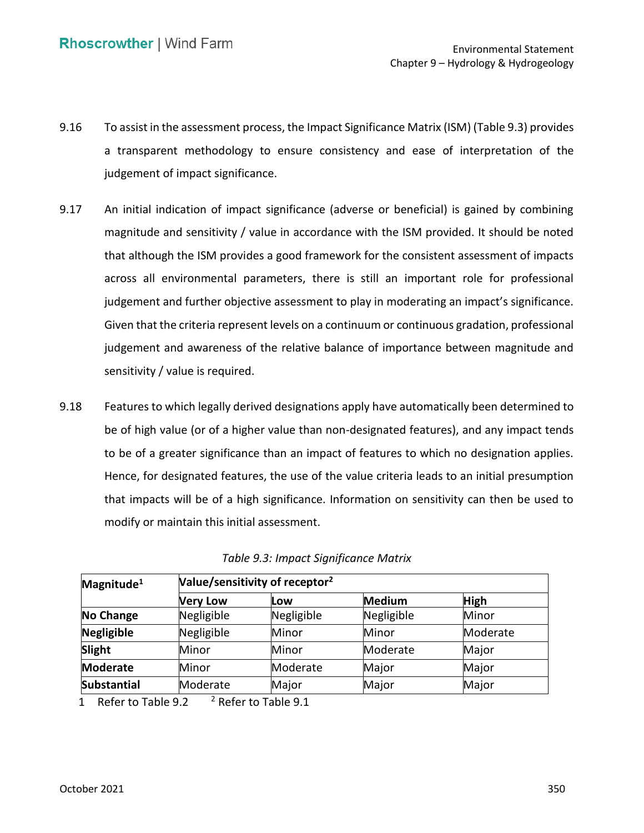- 9.16 To assist in the assessment process, the Impact Significance Matrix (ISM) (Table 9.3) provides a transparent methodology to ensure consistency and ease of interpretation of the judgement of impact significance.
- 9.17 An initial indication of impact significance (adverse or beneficial) is gained by combining magnitude and sensitivity / value in accordance with the ISM provided. It should be noted that although the ISM provides a good framework for the consistent assessment of impacts across all environmental parameters, there is still an important role for professional judgement and further objective assessment to play in moderating an impact's significance. Given that the criteria represent levels on a continuum or continuous gradation, professional judgement and awareness of the relative balance of importance between magnitude and sensitivity / value is required.
- 9.18 Features to which legally derived designations apply have automatically been determined to be of high value (or of a higher value than non-designated features), and any impact tends to be of a greater significance than an impact of features to which no designation applies. Hence, for designated features, the use of the value criteria leads to an initial presumption that impacts will be of a high significance. Information on sensitivity can then be used to modify or maintain this initial assessment.

| Magnitude <sup>1</sup> | Value/sensitivity of receptor <sup>2</sup> |            |            |             |  |
|------------------------|--------------------------------------------|------------|------------|-------------|--|
|                        | <b>Very Low</b>                            | Low        | Medium     | <b>High</b> |  |
| No Change              | Negligible                                 | Negligible | Negligible | Minor       |  |
| Negligible             | Negligible                                 | Minor      | Minor      | Moderate    |  |
| Slight                 | Minor                                      | Minor      | Moderate   | Major       |  |
| <b>Moderate</b>        | Minor                                      | Moderate   | Major      | Major       |  |
| <b>Substantial</b>     | Moderate                                   | Major      | Major      | Major       |  |

1 Refer to Table 9.2  $^2$  Refer to Table 9.1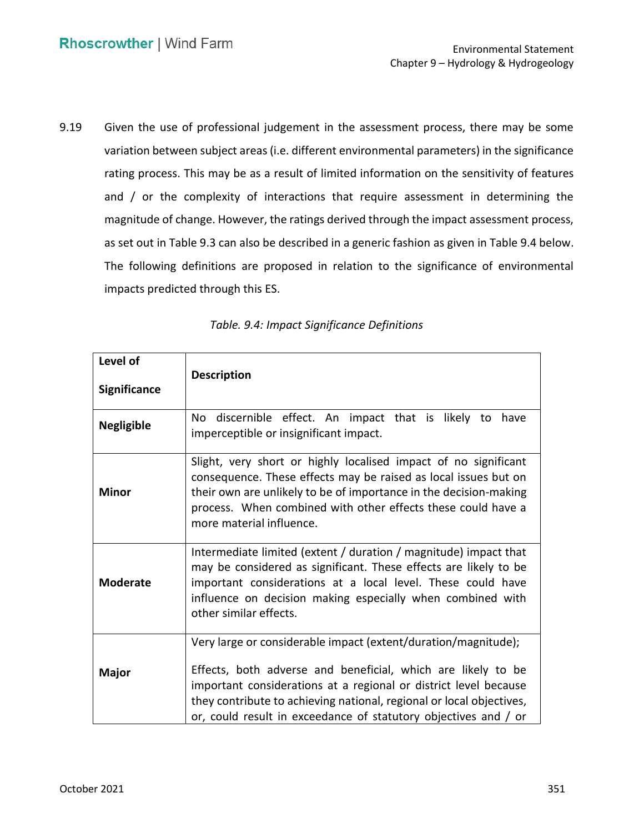9.19 Given the use of professional judgement in the assessment process, there may be some variation between subject areas (i.e. different environmental parameters) in the significance rating process. This may be as a result of limited information on the sensitivity of features and / or the complexity of interactions that require assessment in determining the magnitude of change. However, the ratings derived through the impact assessment process, as set out in Table 9.3 can also be described in a generic fashion as given in Table 9.4 below. The following definitions are proposed in relation to the significance of environmental impacts predicted through this ES.

| Level of<br><b>Significance</b> | <b>Description</b>                                                                                                                                                                                                                                                                                                                            |  |  |  |
|---------------------------------|-----------------------------------------------------------------------------------------------------------------------------------------------------------------------------------------------------------------------------------------------------------------------------------------------------------------------------------------------|--|--|--|
| <b>Negligible</b>               | No discernible effect. An impact that is likely to have<br>imperceptible or insignificant impact.                                                                                                                                                                                                                                             |  |  |  |
| <b>Minor</b>                    | Slight, very short or highly localised impact of no significant<br>consequence. These effects may be raised as local issues but on<br>their own are unlikely to be of importance in the decision-making<br>process. When combined with other effects these could have a<br>more material influence.                                           |  |  |  |
| <b>Moderate</b>                 | Intermediate limited (extent / duration / magnitude) impact that<br>may be considered as significant. These effects are likely to be<br>important considerations at a local level. These could have<br>influence on decision making especially when combined with<br>other similar effects.                                                   |  |  |  |
| <b>Major</b>                    | Very large or considerable impact (extent/duration/magnitude);<br>Effects, both adverse and beneficial, which are likely to be<br>important considerations at a regional or district level because<br>they contribute to achieving national, regional or local objectives,<br>or, could result in exceedance of statutory objectives and / or |  |  |  |

|  |  | Table. 9.4: Impact Significance Definitions |  |
|--|--|---------------------------------------------|--|
|--|--|---------------------------------------------|--|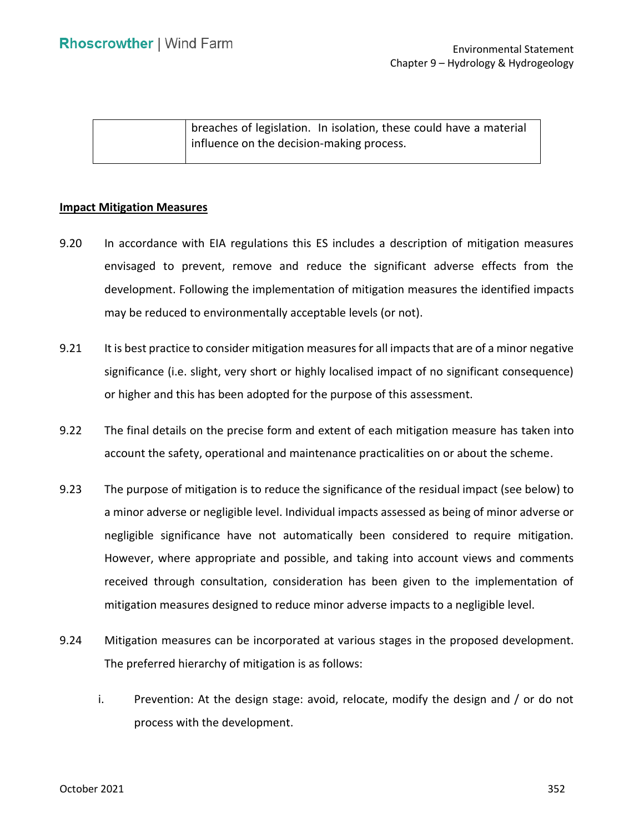| breaches of legislation. In isolation, these could have a material |
|--------------------------------------------------------------------|
| influence on the decision-making process.                          |
|                                                                    |

### **Impact Mitigation Measures**

- 9.20 In accordance with EIA regulations this ES includes a description of mitigation measures development. Following the implementation of mitigation measures the identified impacts may be reduced to environmentally acceptable levels (or not). envisaged to prevent, remove and reduce the significant adverse effects from the
- 9.21 It is best practice to consider mitigation measures for all impacts that are of a minor negative significance (i.e. slight, very short or highly localised impact of no significant consequence) or higher and this has been adopted for the purpose of this assessment.
- 9.22 The final details on the precise form and extent of each mitigation measure has taken into account the safety, operational and maintenance practicalities on or about the scheme.
- 9.23 The purpose of mitigation is to reduce the significance of the residual impact (see below) to a minor adverse or negligible level. Individual impacts assessed as being of minor adverse or negligible significance have not automatically been considered to require mitigation. However, where appropriate and possible, and taking into account views and comments received through consultation, consideration has been given to the implementation of mitigation measures designed to reduce minor adverse impacts to a negligible level.
- 9.24 Mitigation measures can be incorporated at various stages in the proposed development. The preferred hierarchy of mitigation is as follows:
	- i. Prevention: At the design stage: avoid, relocate, modify the design and / or do not process with the development.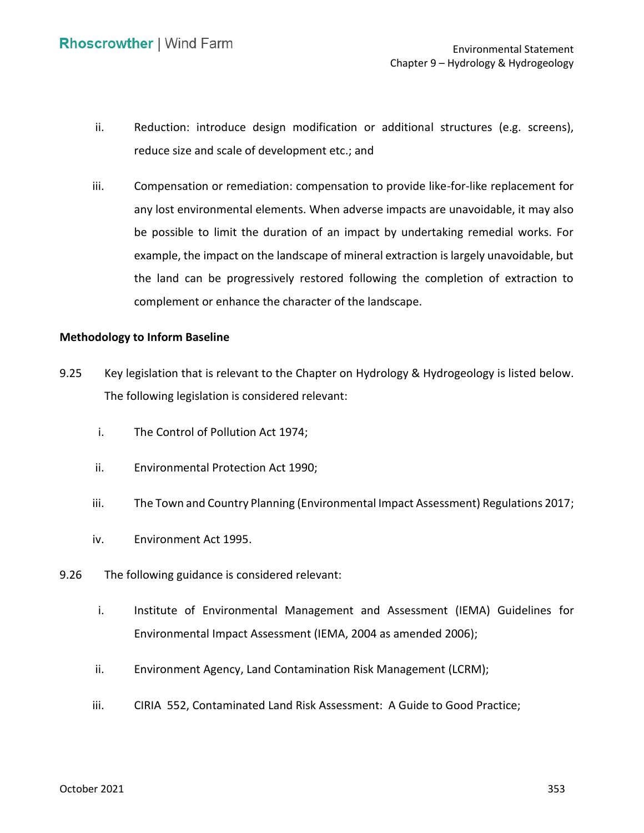- ii. Reduction: introduce design modification or additional structures (e.g. screens), reduce size and scale of development etc.; and
- iii. Compensation or remediation: compensation to provide like-for-like replacement for any lost environmental elements. When adverse impacts are unavoidable, it may also be possible to limit the duration of an impact by undertaking remedial works. For example, the impact on the landscape of mineral extraction is largely unavoidable, but the land can be progressively restored following the completion of extraction to complement or enhance the character of the landscape.

### **Methodology to Inform Baseline**

- 9.25 Key legislation that is relevant to the Chapter on Hydrology & Hydrogeology is listed below. The following legislation is considered relevant:
	- i. The Control of Pollution Act 1974;
	- ii. Environmental Protection Act 1990;
	- iii. The Town and Country Planning (Environmental Impact Assessment) Regulations 2017;
	- iv. Environment Act 1995.
- 9.26 The following guidance is considered relevant:
	- i. Institute of Environmental Management and Assessment (IEMA) Guidelines for Environmental Impact Assessment (IEMA, 2004 as amended 2006);
	- ii. Environment Agency, Land Contamination Risk Management (LCRM);
	- iii. CIRIA 552, Contaminated Land Risk Assessment: A Guide to Good Practice;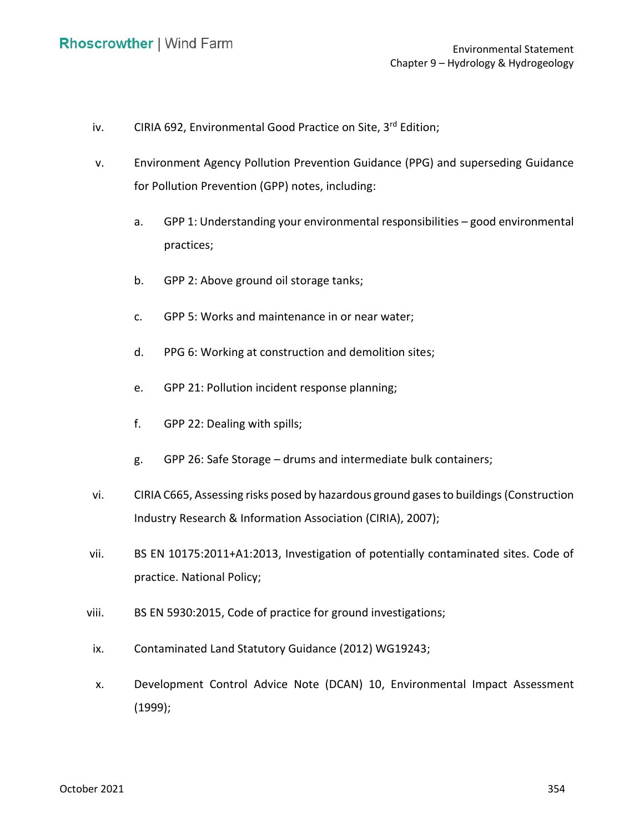- iv. CIRIA 692, Environmental Good Practice on Site, 3<sup>rd</sup> Edition;
- v. Environment Agency Pollution Prevention Guidance (PPG) and superseding Guidance for Pollution Prevention (GPP) notes, including:
	- a. GPP 1: Understanding your environmental responsibilities good environmental practices;
	- b. GPP 2: Above ground oil storage tanks;
	- c. GPP 5: Works and maintenance in or near water;
	- d. PPG 6: Working at construction and demolition sites;
	- e. GPP 21: Pollution incident response planning;
	- f. GPP 22: Dealing with spills;
	- g. GPP 26: Safe Storage drums and intermediate bulk containers;
- vi. CIRIA C665, Assessing risks posed by hazardous ground gases to buildings (Construction Industry Research & Information Association (CIRIA), 2007);
- vii. BS EN 10175:2011+A1:2013, Investigation of potentially contaminated sites. Code of practice. National Policy;
- viii. BS EN 5930:2015, Code of practice for ground investigations;
- ix. Contaminated Land Statutory Guidance (2012) WG19243;
- x. Development Control Advice Note (DCAN) 10, Environmental Impact Assessment (1999);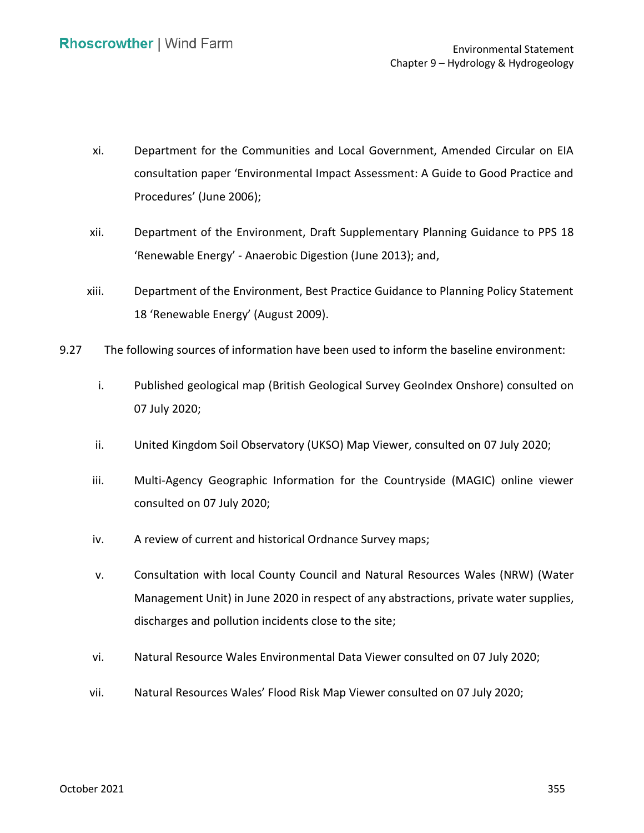- xi. Department for the Communities and Local Government, Amended Circular on EIA consultation paper 'Environmental Impact Assessment: A Guide to Good Practice and Procedures' (June 2006);
- xii. Department of the Environment, Draft Supplementary Planning Guidance to PPS 18 'Renewable Energy' - Anaerobic Digestion (June 2013); and,
- xiii. Department of the Environment, Best Practice Guidance to Planning Policy Statement 18 'Renewable Energy' (August 2009).
- 9.27 The following sources of information have been used to inform the baseline environment:
	- i. Published geological map (British Geological Survey GeoIndex Onshore) consulted on 07 July 2020;
	- ii. United Kingdom Soil Observatory (UKSO) Map Viewer, consulted on 07 July 2020;
	- iii. Multi-Agency Geographic Information for the Countryside (MAGIC) online viewer consulted on 07 July 2020;
	- iv. A review of current and historical Ordnance Survey maps;
	- v. Consultation with local County Council and Natural Resources Wales (NRW) (Water Management Unit) in June 2020 in respect of any abstractions, private water supplies, discharges and pollution incidents close to the site;
	- vi. Natural Resource Wales Environmental Data Viewer consulted on 07 July 2020;
	- vii. Natural Resources Wales' Flood Risk Map Viewer consulted on 07 July 2020;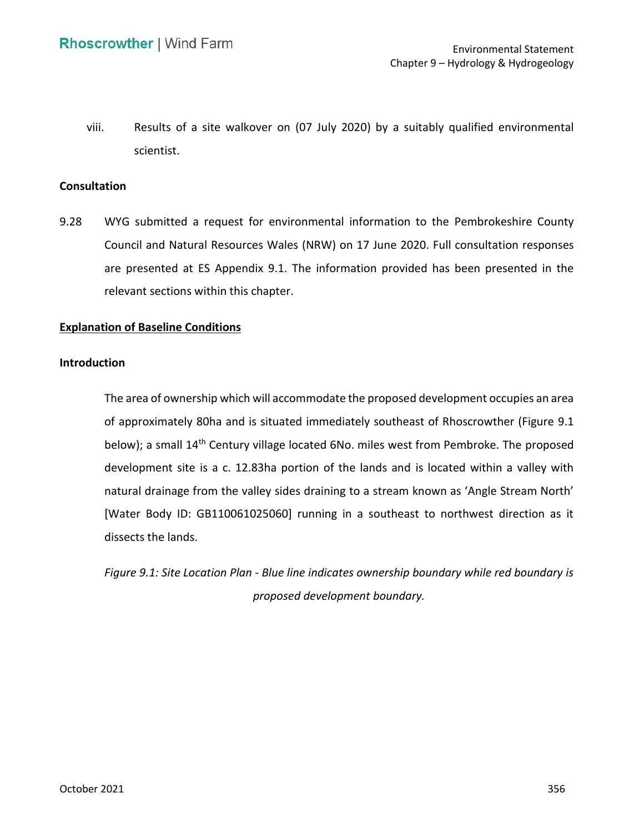viii. Results of a site walkover on (07 July 2020) by a suitably qualified environmental scientist.

#### **Consultation**

 9.28 WYG submitted a request for environmental information to the Pembrokeshire County are presented at ES Appendix 9.1. The information provided has been presented in the Council and Natural Resources Wales (NRW) on 17 June 2020. Full consultation responses relevant sections within this chapter.

## **Explanation of Baseline Conditions**

#### **Introduction**

 The area of ownership which will accommodate the proposed development occupies an area of approximately 80ha and is situated immediately southeast of Rhoscrowther (Figure 9.1 below); a small 14<sup>th</sup> Century village located 6No. miles west from Pembroke. The proposed development site is a c. 12.83ha portion of the lands and is located within a valley with [Water Body ID: GB110061025060] running in a southeast to northwest direction as it natural drainage from the valley sides draining to a stream known as 'Angle Stream North' dissects the lands.

 *Figure 9.1: Site Location Plan - Blue line indicates ownership boundary while red boundary is proposed development boundary.*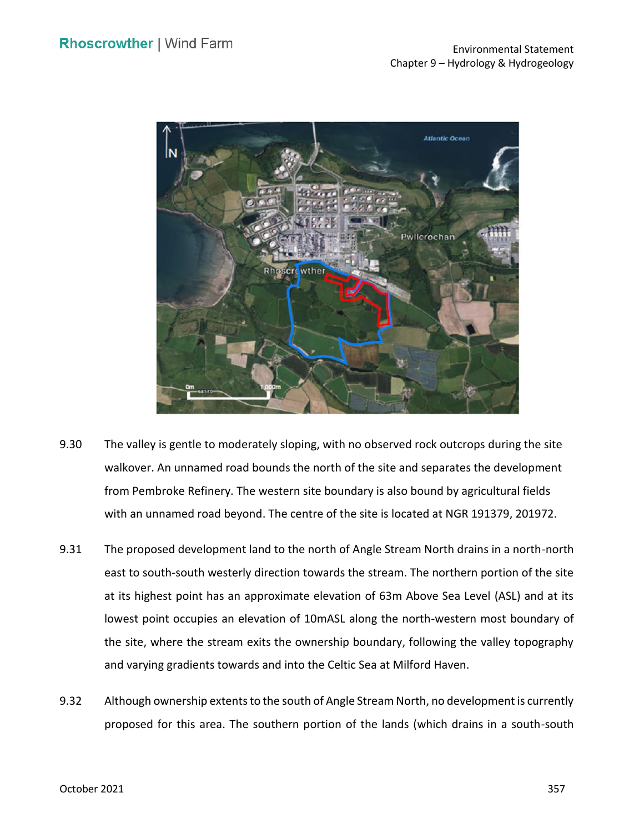

- 9.30 The valley is gentle to moderately sloping, with no observed rock outcrops during the site walkover. An unnamed road bounds the north of the site and separates the development with an unnamed road beyond. The centre of the site is located at NGR 191379, 201972. from Pembroke Refinery. The western site boundary is also bound by agricultural fields
- 9.31 The proposed development land to the north of Angle Stream North drains in a north-north east to south-south westerly direction towards the stream. The northern portion of the site at its highest point has an approximate elevation of 63m Above Sea Level (ASL) and at its lowest point occupies an elevation of 10mASL along the north-western most boundary of the site, where the stream exits the ownership boundary, following the valley topography and varying gradients towards and into the Celtic Sea at Milford Haven.
- 9.32 Although ownership extents to the south of Angle Stream North, no development is currently proposed for this area. The southern portion of the lands (which drains in a south-south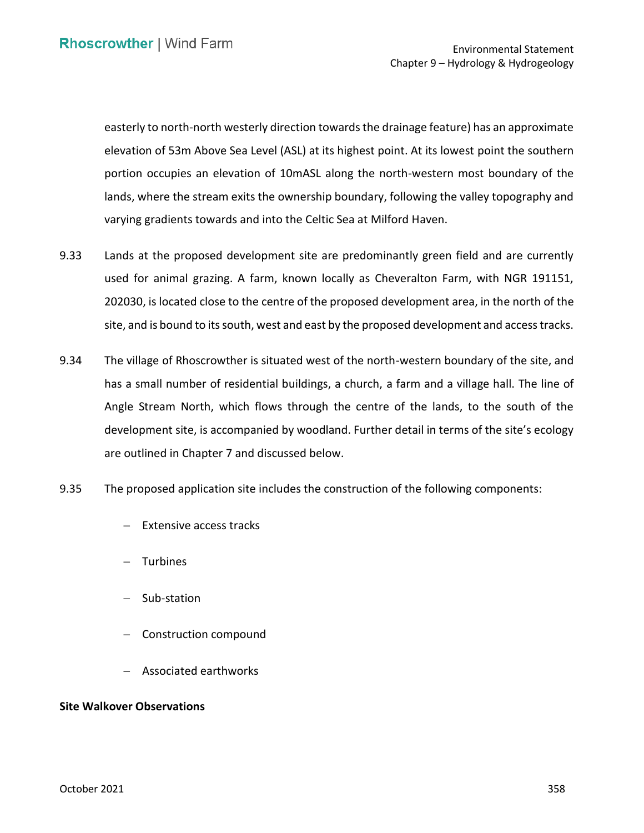easterly to north-north westerly direction towards the drainage feature) has an approximate elevation of 53m Above Sea Level (ASL) at its highest point. At its lowest point the southern portion occupies an elevation of 10mASL along the north-western most boundary of the varying gradients towards and into the Celtic Sea at Milford Haven. lands, where the stream exits the ownership boundary, following the valley topography and

- 9.33 Lands at the proposed development site are predominantly green field and are currently used for animal grazing. A farm, known locally as Cheveralton Farm, with NGR 191151, 202030, is located close to the centre of the proposed development area, in the north of the site, and is bound to its south, west and east by the proposed development and access tracks.
- 9.34 The village of Rhoscrowther is situated west of the north-western boundary of the site, and has a small number of residential buildings, a church, a farm and a village hall. The line of Angle Stream North, which flows through the centre of the lands, to the south of the development site, is accompanied by woodland. Further detail in terms of the site's ecology are outlined in Chapter 7 and discussed below.
- 9.35 The proposed application site includes the construction of the following components:
	- − Extensive access tracks
	- − Turbines
	- − Sub-station
	- − Construction compound
	- − Associated earthworks

## **Site Walkover Observations**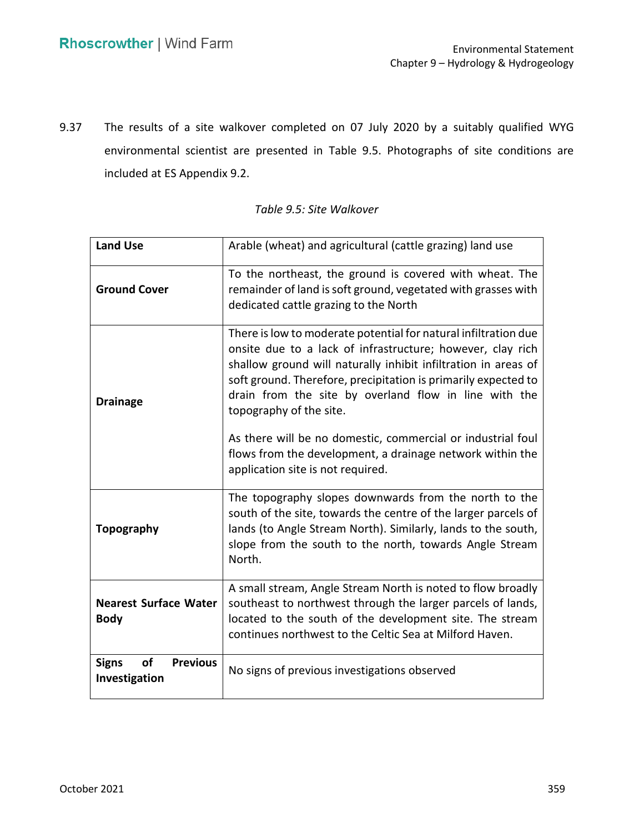9.37 The results of a site walkover completed on 07 July 2020 by a suitably qualified WYG environmental scientist are presented in Table 9.5. Photographs of site conditions are included at ES Appendix 9.2.

| <b>Land Use</b>                                               | Arable (wheat) and agricultural (cattle grazing) land use                                                                                                                                                                                                                                                                                             |
|---------------------------------------------------------------|-------------------------------------------------------------------------------------------------------------------------------------------------------------------------------------------------------------------------------------------------------------------------------------------------------------------------------------------------------|
| <b>Ground Cover</b>                                           | To the northeast, the ground is covered with wheat. The<br>remainder of land is soft ground, vegetated with grasses with<br>dedicated cattle grazing to the North                                                                                                                                                                                     |
| <b>Drainage</b>                                               | There is low to moderate potential for natural infiltration due<br>onsite due to a lack of infrastructure; however, clay rich<br>shallow ground will naturally inhibit infiltration in areas of<br>soft ground. Therefore, precipitation is primarily expected to<br>drain from the site by overland flow in line with the<br>topography of the site. |
|                                                               | As there will be no domestic, commercial or industrial foul<br>flows from the development, a drainage network within the<br>application site is not required.                                                                                                                                                                                         |
| <b>Topography</b>                                             | The topography slopes downwards from the north to the<br>south of the site, towards the centre of the larger parcels of<br>lands (to Angle Stream North). Similarly, lands to the south,<br>slope from the south to the north, towards Angle Stream<br>North.                                                                                         |
| <b>Nearest Surface Water</b><br><b>Body</b>                   | A small stream, Angle Stream North is noted to flow broadly<br>southeast to northwest through the larger parcels of lands,<br>located to the south of the development site. The stream<br>continues northwest to the Celtic Sea at Milford Haven.                                                                                                     |
| <b>Signs</b><br><b>of</b><br><b>Previous</b><br>Investigation | No signs of previous investigations observed                                                                                                                                                                                                                                                                                                          |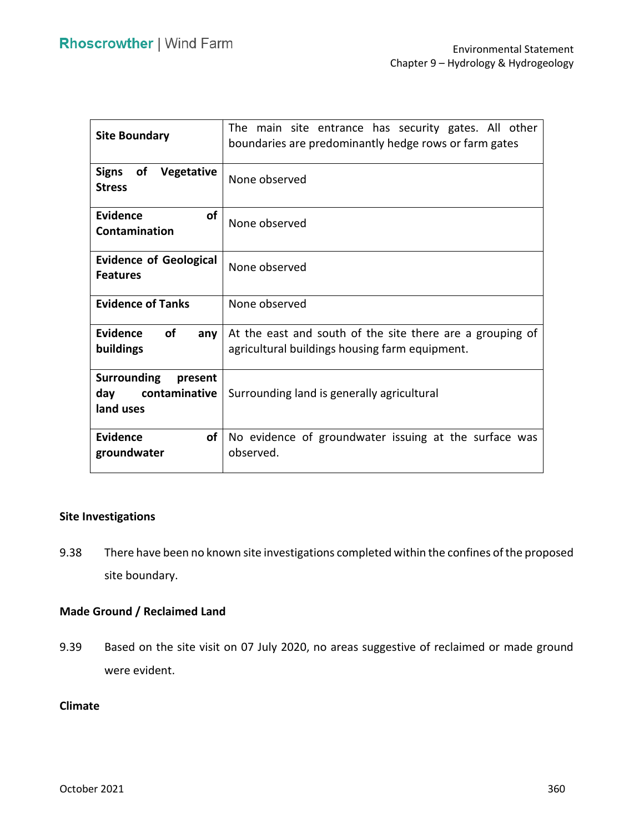| <b>Site Boundary</b>                                               | The main site entrance has security gates. All other<br>boundaries are predominantly hedge rows or farm gates |
|--------------------------------------------------------------------|---------------------------------------------------------------------------------------------------------------|
| of<br>Vegetative<br><b>Signs</b><br><b>Stress</b>                  | None observed                                                                                                 |
| <b>of</b><br>Evidence<br>Contamination                             | None observed                                                                                                 |
| <b>Evidence of Geological</b><br><b>Features</b>                   | None observed                                                                                                 |
| <b>Evidence of Tanks</b>                                           | None observed                                                                                                 |
| <b>Evidence</b><br>οf<br>any<br>buildings                          | At the east and south of the site there are a grouping of<br>agricultural buildings housing farm equipment.   |
| <b>Surrounding</b><br>present<br>day<br>contaminative<br>land uses | Surrounding land is generally agricultural                                                                    |
| of<br><b>Evidence</b><br>groundwater                               | No evidence of groundwater issuing at the surface was<br>observed.                                            |

## **Site Investigations**

 9.38 There have been no known site investigations completed within the confines of the proposed site boundary.

## **Made Ground / Reclaimed Land**

 9.39 Based on the site visit on 07 July 2020, no areas suggestive of reclaimed or made ground were evident.

## **Climate**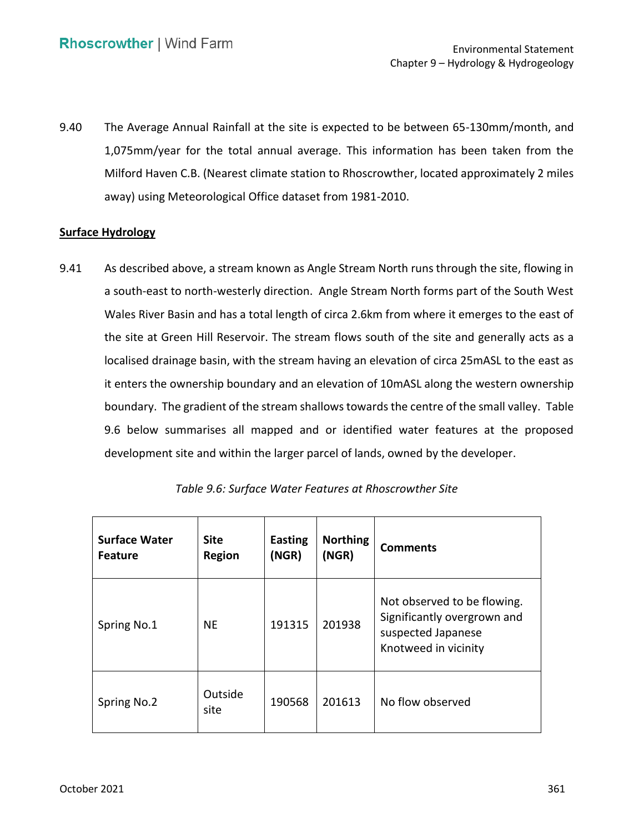9.40 The Average Annual Rainfall at the site is expected to be between 65-130mm/month, and 1,075mm/year for the total annual average. This information has been taken from the Milford Haven C.B. (Nearest climate station to Rhoscrowther, located approximately 2 miles away) using Meteorological Office dataset from 1981-2010.

### **Surface Hydrology**

 9.41 As described above, a stream known as Angle Stream North runs through the site, flowing in a south-east to north-westerly direction. Angle Stream North forms part of the South West Wales River Basin and has a total length of circa 2.6km from where it emerges to the east of the site at Green Hill Reservoir. The stream flows south of the site and generally acts as a localised drainage basin, with the stream having an elevation of circa 25mASL to the east as it enters the ownership boundary and an elevation of 10mASL along the western ownership boundary. The gradient of the stream shallows towards the centre of the small valley. Table 9.6 below summarises all mapped and or identified water features at the proposed development site and within the larger parcel of lands, owned by the developer.

| <b>Surface Water</b><br><b>Feature</b> | <b>Site</b><br><b>Region</b> | <b>Easting</b><br>(NGR) | <b>Northing</b><br>(NGR) | <b>Comments</b>                                                                                          |
|----------------------------------------|------------------------------|-------------------------|--------------------------|----------------------------------------------------------------------------------------------------------|
| Spring No.1                            | <b>NE</b>                    | 191315                  | 201938                   | Not observed to be flowing.<br>Significantly overgrown and<br>suspected Japanese<br>Knotweed in vicinity |
| Spring No.2                            | Outside<br>site              | 190568                  | 201613                   | No flow observed                                                                                         |

| Table 9.6: Surface Water Features at Rhoscrowther Site |  |  |  |  |
|--------------------------------------------------------|--|--|--|--|
|--------------------------------------------------------|--|--|--|--|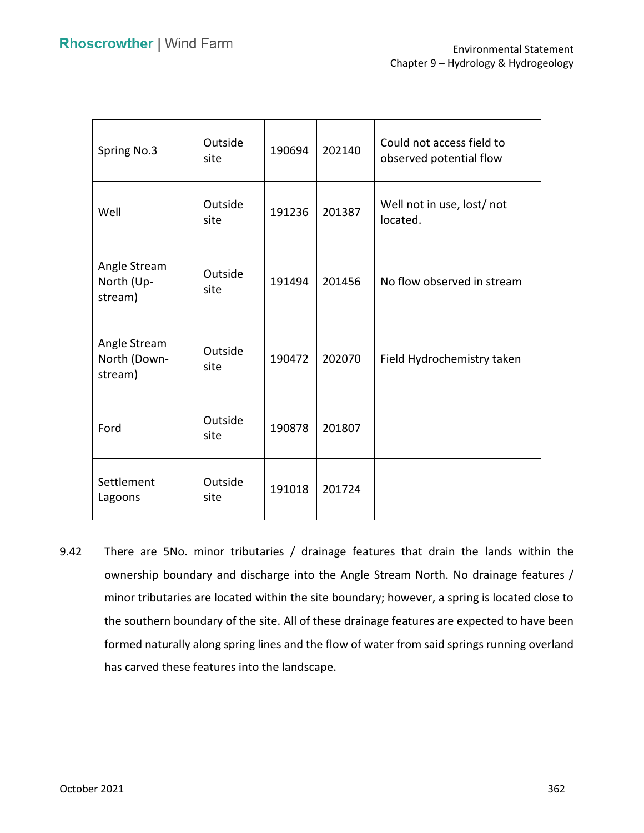| Spring No.3                             | Outside<br>site | 190694 | 202140 | Could not access field to<br>observed potential flow |
|-----------------------------------------|-----------------|--------|--------|------------------------------------------------------|
| Well                                    | Outside<br>site | 191236 | 201387 | Well not in use, lost/not<br>located.                |
| Angle Stream<br>North (Up-<br>stream)   | Outside<br>site | 191494 | 201456 | No flow observed in stream                           |
| Angle Stream<br>North (Down-<br>stream) | Outside<br>site | 190472 | 202070 | Field Hydrochemistry taken                           |
| Ford                                    | Outside<br>site | 190878 | 201807 |                                                      |
| Settlement<br>Lagoons                   | Outside<br>site | 191018 | 201724 |                                                      |

 9.42 There are 5No. minor tributaries / drainage features that drain the lands within the ownership boundary and discharge into the Angle Stream North. No drainage features / minor tributaries are located within the site boundary; however, a spring is located close to the southern boundary of the site. All of these drainage features are expected to have been formed naturally along spring lines and the flow of water from said springs running overland has carved these features into the landscape.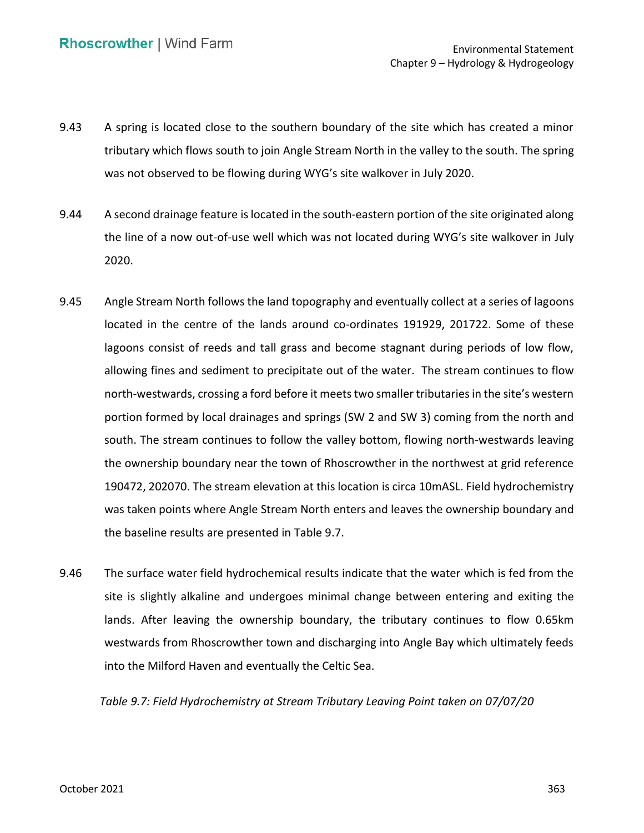- 9.43 A spring is located close to the southern boundary of the site which has created a minor tributary which flows south to join Angle Stream North in the valley to the south. The spring was not observed to be flowing during WYG's site walkover in July 2020.
- 9.44 A second drainage feature is located in the south-eastern portion of the site originated along the line of a now out-of-use well which was not located during WYG's site walkover in July 2020.
- 9.45 Angle Stream North follows the land topography and eventually collect at a series of lagoons located in the centre of the lands around co-ordinates 191929, 201722. Some of these lagoons consist of reeds and tall grass and become stagnant during periods of low flow, allowing fines and sediment to precipitate out of the water. The stream continues to flow north-westwards, crossing a ford before it meets two smaller tributaries in the site's western portion formed by local drainages and springs (SW 2 and SW 3) coming from the north and south. The stream continues to follow the valley bottom, flowing north-westwards leaving the ownership boundary near the town of Rhoscrowther in the northwest at grid reference 190472, 202070. The stream elevation at this location is circa 10mASL. Field hydrochemistry the baseline results are presented in Table 9.7. was taken points where Angle Stream North enters and leaves the ownership boundary and
- 9.46 The surface water field hydrochemical results indicate that the water which is fed from the site is slightly alkaline and undergoes minimal change between entering and exiting the lands. After leaving the ownership boundary, the tributary continues to flow 0.65km westwards from Rhoscrowther town and discharging into Angle Bay which ultimately feeds into the Milford Haven and eventually the Celtic Sea.

 *Table 9.7: Field Hydrochemistry at Stream Tributary Leaving Point taken on 07/07/20*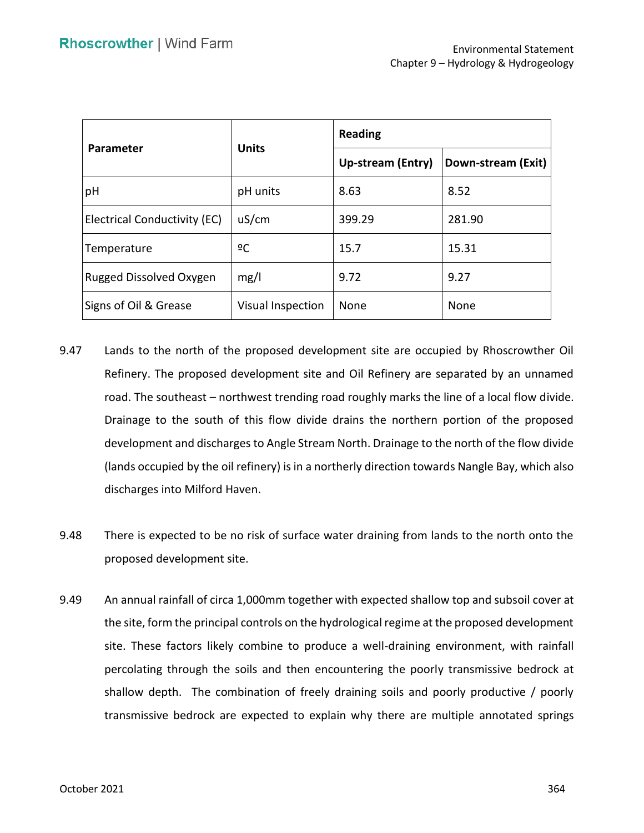| Parameter                           | <b>Units</b>      | <b>Reading</b>           |                    |  |
|-------------------------------------|-------------------|--------------------------|--------------------|--|
|                                     |                   | <b>Up-stream (Entry)</b> | Down-stream (Exit) |  |
| pH                                  | pH units          | 8.63                     | 8.52               |  |
| <b>Electrical Conductivity (EC)</b> | uS/cm             | 399.29                   | 281.90             |  |
| Temperature                         | ºC                | 15.7                     | 15.31              |  |
| <b>Rugged Dissolved Oxygen</b>      | mg/l              | 9.72                     | 9.27               |  |
| Signs of Oil & Grease               | Visual Inspection | None                     | None               |  |

- 9.47 Lands to the north of the proposed development site are occupied by Rhoscrowther Oil Refinery. The proposed development site and Oil Refinery are separated by an unnamed road. The southeast – northwest trending road roughly marks the line of a local flow divide. Drainage to the south of this flow divide drains the northern portion of the proposed development and discharges to Angle Stream North. Drainage to the north of the flow divide (lands occupied by the oil refinery) is in a northerly direction towards Nangle Bay, which also discharges into Milford Haven.
- 9.48 There is expected to be no risk of surface water draining from lands to the north onto the proposed development site.
- 9.49 An annual rainfall of circa 1,000mm together with expected shallow top and subsoil cover at site. These factors likely combine to produce a well-draining environment, with rainfall percolating through the soils and then encountering the poorly transmissive bedrock at shallow depth. The combination of freely draining soils and poorly productive / poorly transmissive bedrock are expected to explain why there are multiple annotated springs the site, form the principal controls on the hydrological regime at the proposed development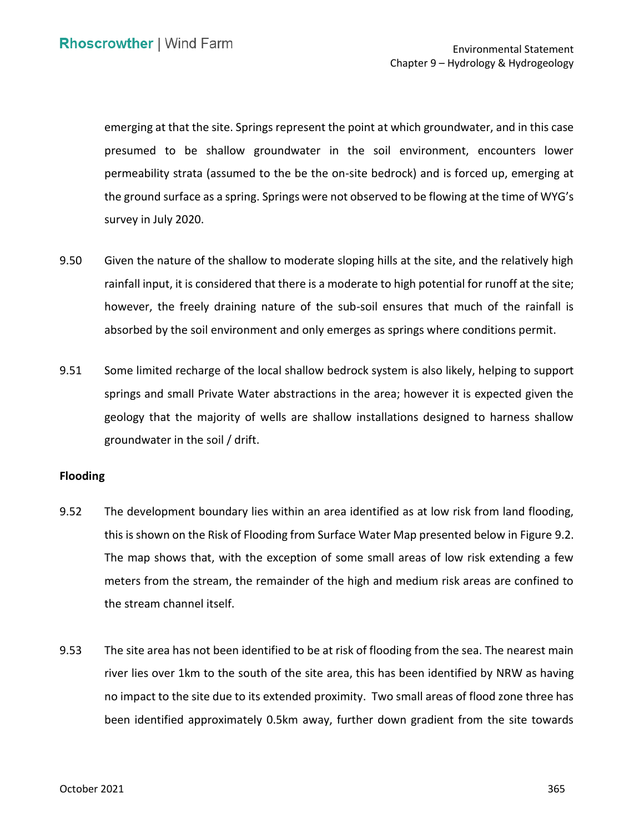emerging at that the site. Springs represent the point at which groundwater, and in this case presumed to be shallow groundwater in the soil environment, encounters lower permeability strata (assumed to the be the on-site bedrock) and is forced up, emerging at the ground surface as a spring. Springs were not observed to be flowing at the time of WYG's survey in July 2020.

- 9.50 Given the nature of the shallow to moderate sloping hills at the site, and the relatively high rainfall input, it is considered that there is a moderate to high potential for runoff at the site; however, the freely draining nature of the sub-soil ensures that much of the rainfall is absorbed by the soil environment and only emerges as springs where conditions permit.
- 9.51 Some limited recharge of the local shallow bedrock system is also likely, helping to support springs and small Private Water abstractions in the area; however it is expected given the geology that the majority of wells are shallow installations designed to harness shallow groundwater in the soil / drift.

#### **Flooding**

- 9.52 The development boundary lies within an area identified as at low risk from land flooding, this is shown on the Risk of Flooding from Surface Water Map presented below in Figure 9.2. The map shows that, with the exception of some small areas of low risk extending a few meters from the stream, the remainder of the high and medium risk areas are confined to the stream channel itself.
- 9.53 The site area has not been identified to be at risk of flooding from the sea. The nearest main river lies over 1km to the south of the site area, this has been identified by NRW as having no impact to the site due to its extended proximity. Two small areas of flood zone three has been identified approximately 0.5km away, further down gradient from the site towards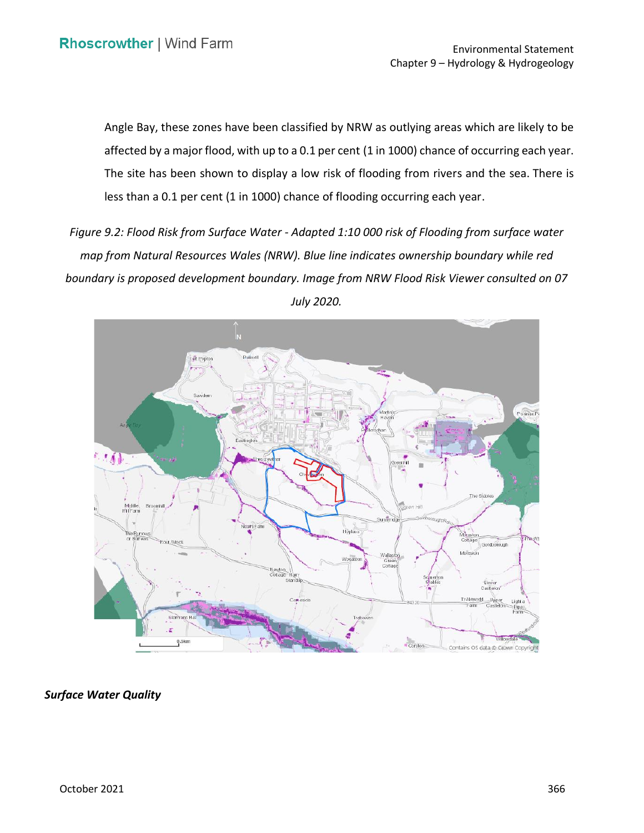Angle Bay, these zones have been classified by NRW as outlying areas which are likely to be affected by a major flood, with up to a 0.1 per cent (1 in 1000) chance of occurring each year. The site has been shown to display a low risk of flooding from rivers and the sea. There is less than a 0.1 per cent (1 in 1000) chance of flooding occurring each year.

 *Figure 9.2: Flood Risk from Surface Water - Adapted 1:10 000 risk of Flooding from surface water map from Natural Resources Wales (NRW). Blue line indicates ownership boundary while red boundary is proposed development boundary. Image from NRW Flood Risk Viewer consulted on 07 July 2020.* 



*Surface Water Quality*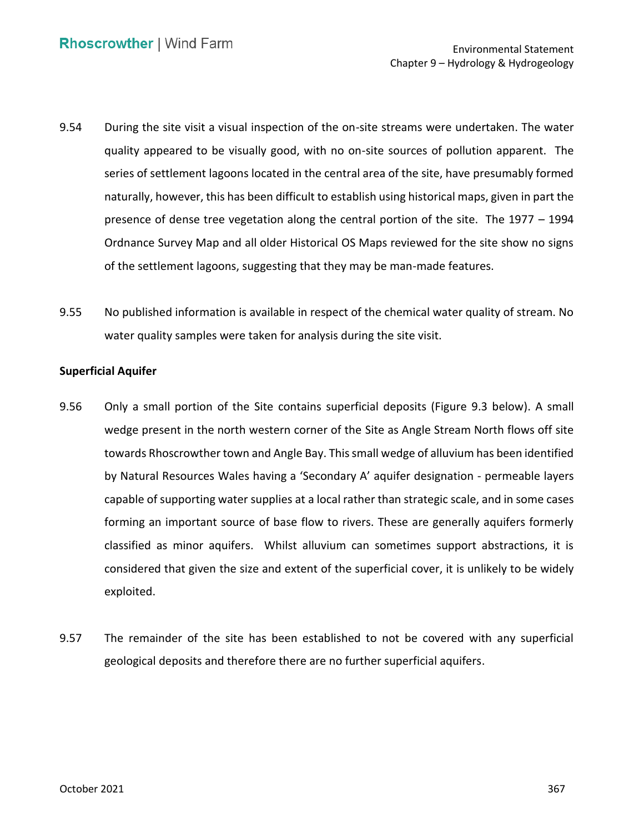- 9.54 During the site visit a visual inspection of the on-site streams were undertaken. The water quality appeared to be visually good, with no on-site sources of pollution apparent. The series of settlement lagoons located in the central area of the site, have presumably formed naturally, however, this has been difficult to establish using historical maps, given in part the presence of dense tree vegetation along the central portion of the site. The 1977 – 1994 Ordnance Survey Map and all older Historical OS Maps reviewed for the site show no signs of the settlement lagoons, suggesting that they may be man-made features.
- 9.55 No published information is available in respect of the chemical water quality of stream. No water quality samples were taken for analysis during the site visit.

## **Superficial Aquifer**

- 9.56 Only a small portion of the Site contains superficial deposits (Figure 9.3 below). A small wedge present in the north western corner of the Site as Angle Stream North flows off site towards Rhoscrowther town and Angle Bay. This small wedge of alluvium has been identified capable of supporting water supplies at a local rather than strategic scale, and in some cases forming an important source of base flow to rivers. These are generally aquifers formerly classified as minor aquifers. Whilst alluvium can sometimes support abstractions, it is considered that given the size and extent of the superficial cover, it is unlikely to be widely by Natural Resources Wales having a 'Secondary A' aquifer designation - permeable layers exploited.
- 9.57 The remainder of the site has been established to not be covered with any superficial geological deposits and therefore there are no further superficial aquifers.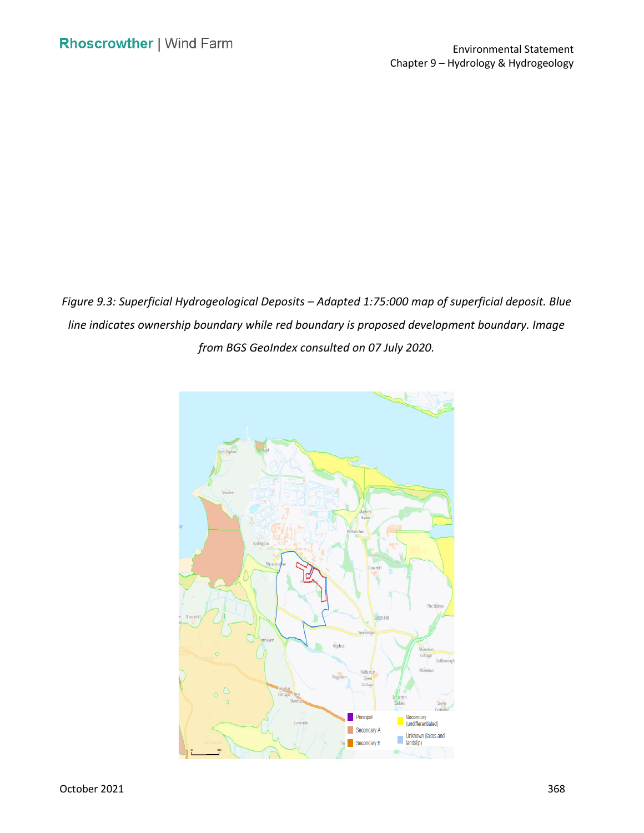*Figure 9.3: Superficial Hydrogeological Deposits – Adapted 1:75:000 map of superficial deposit. Blue line indicates ownership boundary while red boundary is proposed development boundary. Image from BGS GeoIndex consulted on 07 July 2020.* 

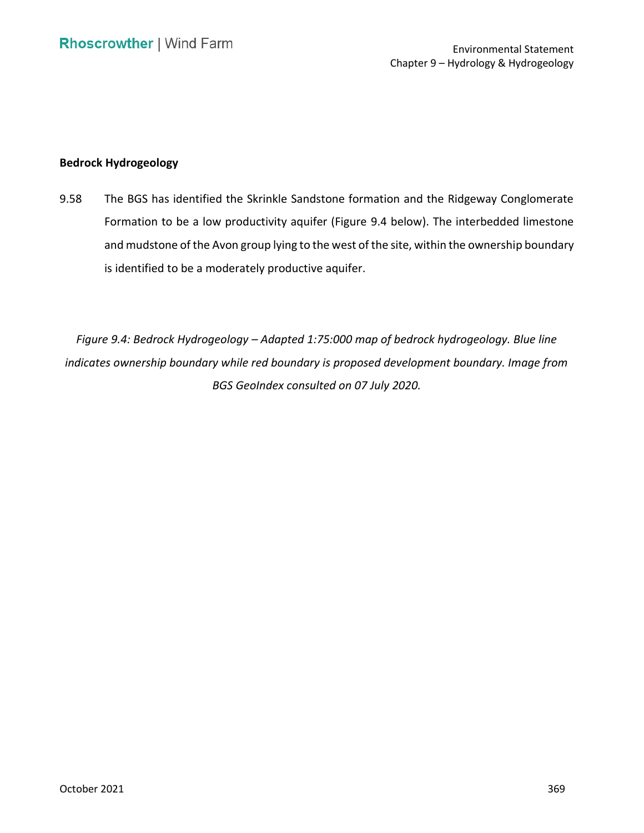#### **Bedrock Hydrogeology**

 9.58 The BGS has identified the Skrinkle Sandstone formation and the Ridgeway Conglomerate Formation to be a low productivity aquifer (Figure 9.4 below). The interbedded limestone and mudstone of the Avon group lying to the west of the site, within the ownership boundary is identified to be a moderately productive aquifer.

 *Figure 9.4: Bedrock Hydrogeology – Adapted 1:75:000 map of bedrock hydrogeology. Blue line indicates ownership boundary while red boundary is proposed development boundary. Image from BGS GeoIndex consulted on 07 July 2020.*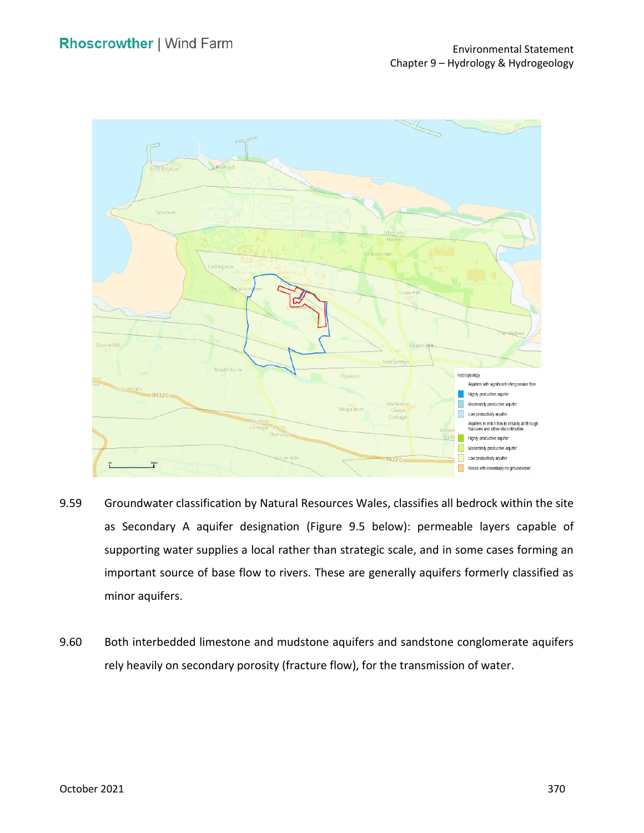

- 9.59 Groundwater classification by Natural Resources Wales, classifies all bedrock within the site as Secondary A aquifer designation (Figure 9.5 below): permeable layers capable of supporting water supplies a local rather than strategic scale, and in some cases forming an important source of base flow to rivers. These are generally aquifers formerly classified as minor aquifers.
- 9.60 Both interbedded limestone and mudstone aquifers and sandstone conglomerate aquifers rely heavily on secondary porosity (fracture flow), for the transmission of water.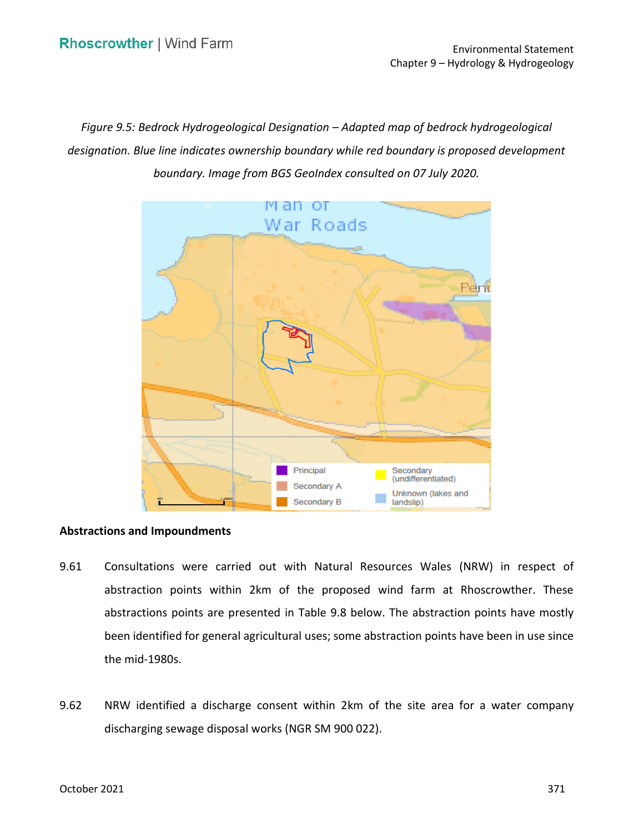*Figure 9.5: Bedrock Hydrogeological Designation – Adapted map of bedrock hydrogeological designation. Blue line indicates ownership boundary while red boundary is proposed development boundary. Image from BGS GeoIndex consulted on 07 July 2020.* 



#### **Abstractions and Impoundments**

- 9.61 Consultations were carried out with Natural Resources Wales (NRW) in respect of abstraction points within 2km of the proposed wind farm at Rhoscrowther. These abstractions points are presented in Table 9.8 below. The abstraction points have mostly been identified for general agricultural uses; some abstraction points have been in use since the mid-1980s.
- 9.62 NRW identified a discharge consent within 2km of the site area for a water company discharging sewage disposal works (NGR SM 900 022).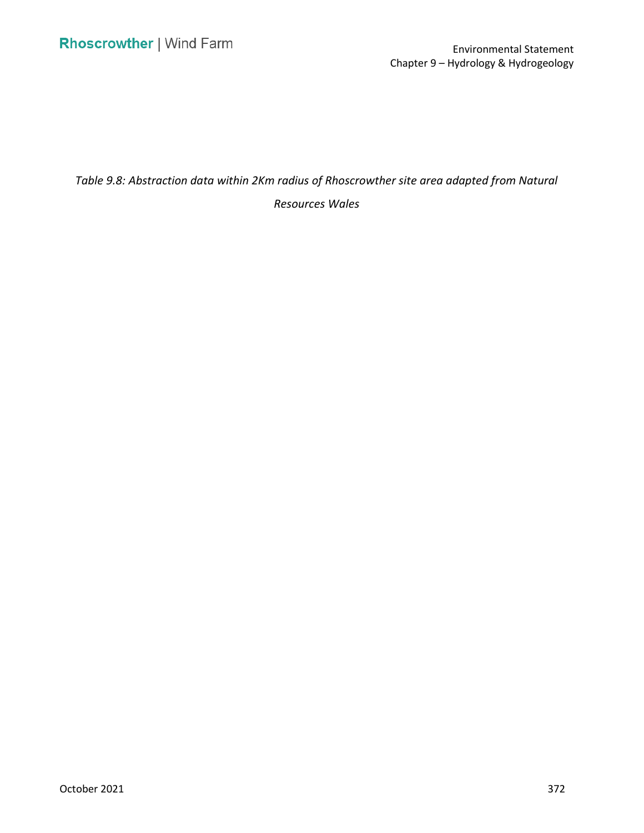*Table 9.8: Abstraction data within 2Km radius of Rhoscrowther site area adapted from Natural* 

*Resources Wales*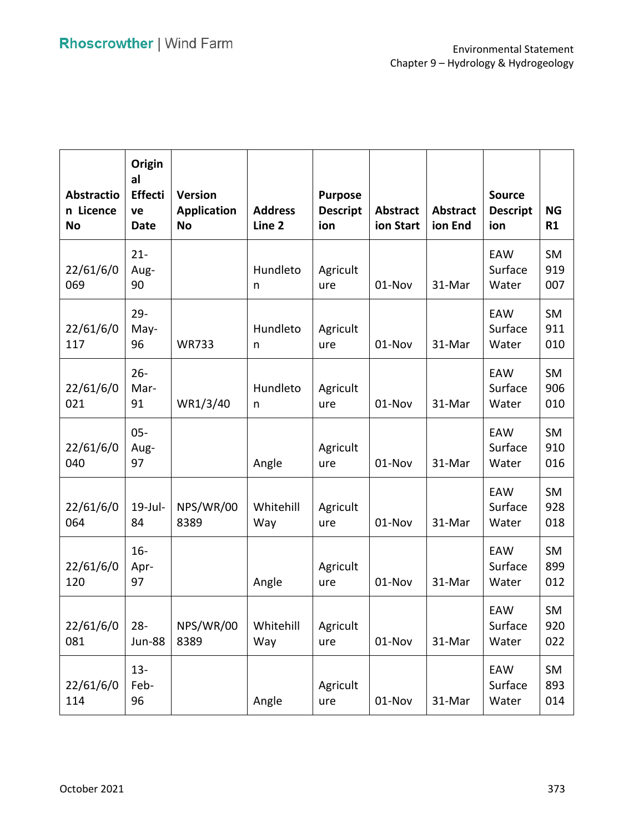| <b>Abstractio</b><br>n Licence<br><b>No</b> | Origin<br>al<br><b>Effecti</b><br>ve<br><b>Date</b> | <b>Version</b><br><b>Application</b><br><b>No</b> | <b>Address</b><br>Line <sub>2</sub> | <b>Purpose</b><br><b>Descript</b><br>ion | <b>Abstract</b><br>ion Start | <b>Abstract</b><br>ion End | <b>Source</b><br><b>Descript</b><br>ion | <b>NG</b><br>R1         |
|---------------------------------------------|-----------------------------------------------------|---------------------------------------------------|-------------------------------------|------------------------------------------|------------------------------|----------------------------|-----------------------------------------|-------------------------|
| 22/61/6/0<br>069                            | $21 -$<br>Aug-<br>90                                |                                                   | Hundleto<br>n                       | Agricult<br>ure                          | 01-Nov                       | 31-Mar                     | EAW<br>Surface<br>Water                 | <b>SM</b><br>919<br>007 |
| 22/61/6/0<br>117                            | $29 -$<br>May-<br>96                                | <b>WR733</b>                                      | Hundleto<br>n                       | Agricult<br>ure                          | 01-Nov                       | 31-Mar                     | EAW<br>Surface<br>Water                 | <b>SM</b><br>911<br>010 |
| 22/61/6/0<br>021                            | $26 -$<br>Mar-<br>91                                | WR1/3/40                                          | Hundleto<br>n                       | Agricult<br>ure                          | 01-Nov                       | 31-Mar                     | EAW<br>Surface<br>Water                 | <b>SM</b><br>906<br>010 |
| 22/61/6/0<br>040                            | $05 -$<br>Aug-<br>97                                |                                                   | Angle                               | Agricult<br>ure                          | 01-Nov                       | 31-Mar                     | EAW<br>Surface<br>Water                 | <b>SM</b><br>910<br>016 |
| 22/61/6/0<br>064                            | $19$ -Jul-<br>84                                    | NPS/WR/00<br>8389                                 | Whitehill<br>Way                    | Agricult<br>ure                          | 01-Nov                       | 31-Mar                     | EAW<br>Surface<br>Water                 | <b>SM</b><br>928<br>018 |
| 22/61/6/0<br>120                            | $16 -$<br>Apr-<br>97                                |                                                   | Angle                               | Agricult<br>ure                          | 01-Nov                       | 31-Mar                     | EAW<br>Surface<br>Water                 | <b>SM</b><br>899<br>012 |
| 22/61/6/0<br>081                            | $28 -$<br><b>Jun-88</b>                             | NPS/WR/00<br>8389                                 | Whitehill<br>Way                    | Agricult<br>ure                          | 01-Nov                       | 31-Mar                     | EAW<br>Surface<br>Water                 | <b>SM</b><br>920<br>022 |
| 22/61/6/0<br>114                            | $13 -$<br>Feb-<br>96                                |                                                   | Angle                               | Agricult<br>ure                          | 01-Nov                       | 31-Mar                     | EAW<br>Surface<br>Water                 | SM<br>893<br>014        |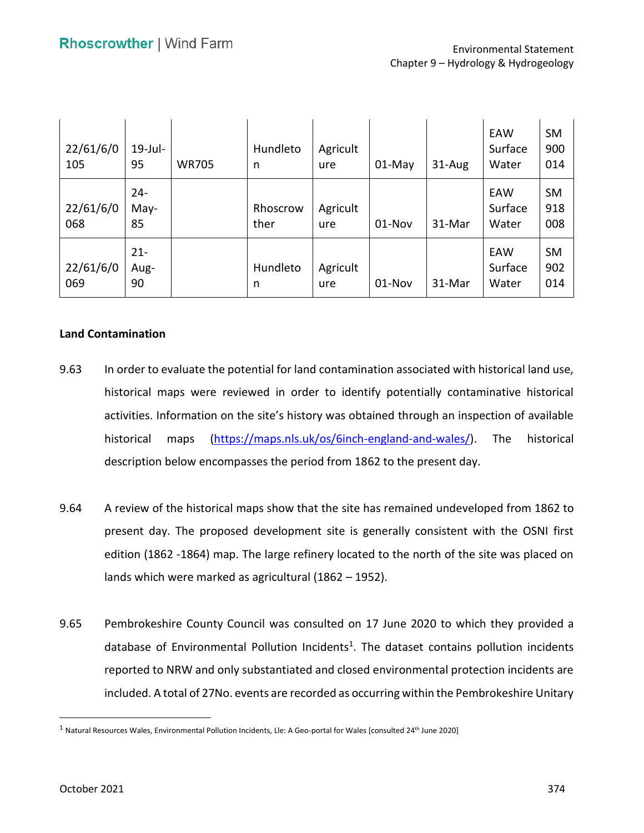| 22/61/6/0<br>105 | $19$ -Jul-<br>95     | <b>WR705</b> | Hundleto<br>n    | Agricult<br>ure | $01-May$ | 31-Aug | EAW<br>Surface<br>Water | <b>SM</b><br>900<br>014 |
|------------------|----------------------|--------------|------------------|-----------------|----------|--------|-------------------------|-------------------------|
| 22/61/6/0<br>068 | $24 -$<br>May-<br>85 |              | Rhoscrow<br>ther | Agricult<br>ure | 01-Nov   | 31-Mar | EAW<br>Surface<br>Water | <b>SM</b><br>918<br>008 |
| 22/61/6/0<br>069 | $21 -$<br>Aug-<br>90 |              | Hundleto<br>n    | Agricult<br>ure | 01-Nov   | 31-Mar | EAW<br>Surface<br>Water | <b>SM</b><br>902<br>014 |

### **Land Contamination**

- 9.63 In order to evaluate the potential for land contamination associated with historical land use, historical maps were reviewed in order to identify potentially contaminative historical activities. Information on the site's history was obtained through an inspection of available description below encompasses the period from 1862 to the present day. historical maps [\(https://maps.nls.uk/os/6inch-england-and-wales/\)](https://maps.nls.uk/os/6inch-england-and-wales/). The historical
- 9.64 A review of the historical maps show that the site has remained undeveloped from 1862 to present day. The proposed development site is generally consistent with the OSNI first edition (1862 -1864) map. The large refinery located to the north of the site was placed on lands which were marked as agricultural (1862 – 1952).
- 9.65 Pembrokeshire County Council was consulted on 17 June 2020 to which they provided a database of Environmental Pollution Incidents<sup>1</sup>. The dataset contains pollution incidents reported to NRW and only substantiated and closed environmental protection incidents are included. A total of 27No. events are recorded as occurring within the Pembrokeshire Unitary

 $1$  Natural Resources Wales, Environmental Pollution Incidents, Lle: A Geo-portal for Wales [consulted 24<sup>th</sup> June 2020]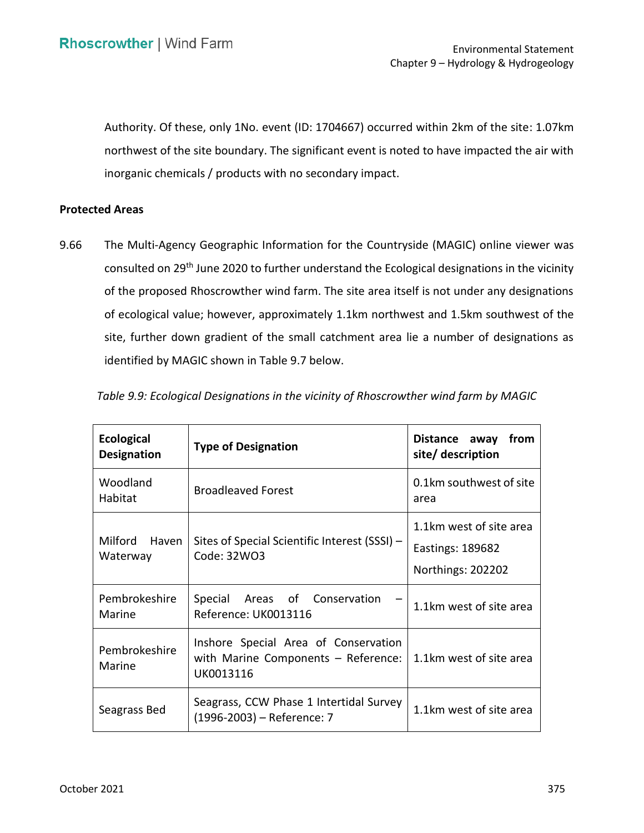Authority. Of these, only 1No. event (ID: 1704667) occurred within 2km of the site: 1.07km northwest of the site boundary. The significant event is noted to have impacted the air with inorganic chemicals / products with no secondary impact.

## **Protected Areas**

consulted on 29<sup>th</sup> June 2020 to further understand the Ecological designations in the vicinity of the proposed Rhoscrowther wind farm. The site area itself is not under any designations of ecological value; however, approximately 1.1km northwest and 1.5km southwest of the site, further down gradient of the small catchment area lie a number of designations as identified by MAGIC shown in Table 9.7 below. 9.66 The Multi-Agency Geographic Information for the Countryside (MAGIC) online viewer was

| <b>Ecological</b><br><b>Designation</b> | <b>Type of Designation</b>                                                               | Distance away<br>from<br>site/ description                       |
|-----------------------------------------|------------------------------------------------------------------------------------------|------------------------------------------------------------------|
| Woodland<br>Habitat                     | <b>Broadleaved Forest</b>                                                                | 0.1km southwest of site<br>area                                  |
| Milford Haven<br>Waterway               | Sites of Special Scientific Interest (SSSI) -<br>Code: 32WO3                             | 1.1km west of site area<br>Eastings: 189682<br>Northings: 202202 |
| Pembrokeshire<br>Marine                 | Special Areas of Conservation<br>Reference: UK0013116                                    | 1.1km west of site area                                          |
| Pembrokeshire<br>Marine                 | Inshore Special Area of Conservation<br>with Marine Components - Reference:<br>UK0013116 | 1.1km west of site area                                          |
| Seagrass Bed                            | Seagrass, CCW Phase 1 Intertidal Survey<br>(1996-2003) - Reference: 7                    | 1.1km west of site area                                          |

 *Table 9.9: Ecological Designations in the vicinity of Rhoscrowther wind farm by MAGIC*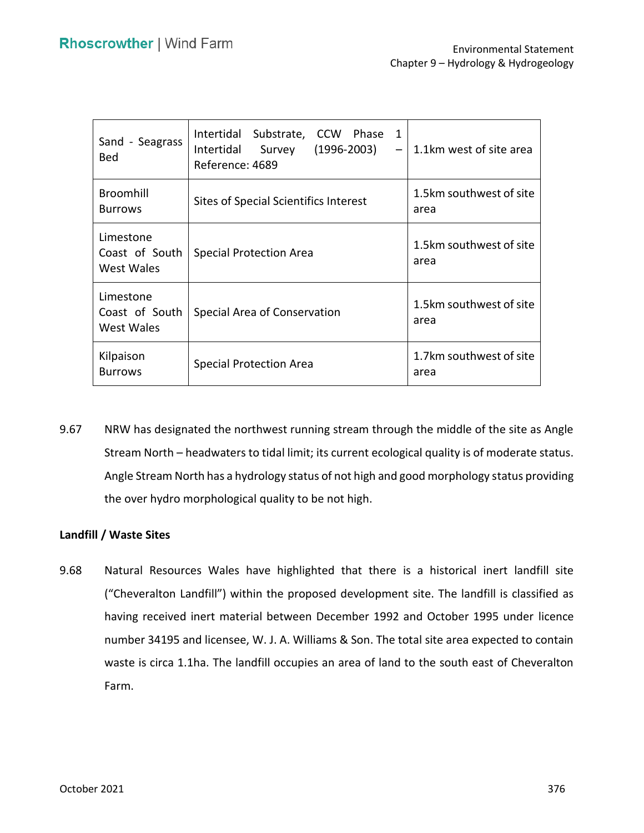| Sand - Seagrass<br>Bed                    | Intertidal Substrate, CCW Phase<br>$\mathbf{1}$<br>Intertidal<br>Survey<br>$(1996 - 2003)$<br>Reference: 4689 | 1.1km west of site area         |
|-------------------------------------------|---------------------------------------------------------------------------------------------------------------|---------------------------------|
| Broomhill<br><b>Burrows</b>               | Sites of Special Scientifics Interest                                                                         | 1.5km southwest of site<br>area |
| Limestone<br>Coast of South<br>West Wales | <b>Special Protection Area</b>                                                                                | 1.5km southwest of site<br>area |
| Limestone<br>Coast of South<br>West Wales | Special Area of Conservation                                                                                  | 1.5km southwest of site<br>area |
| Kilpaison<br><b>Burrows</b>               | <b>Special Protection Area</b>                                                                                | 1.7km southwest of site<br>area |

 9.67 NRW has designated the northwest running stream through the middle of the site as Angle Angle Stream North has a hydrology status of not high and good morphology status providing the over hydro morphological quality to be not high. Stream North – headwaters to tidal limit; its current ecological quality is of moderate status.

## **Landfill / Waste Sites**

 9.68 Natural Resources Wales have highlighted that there is a historical inert landfill site ("Cheveralton Landfill") within the proposed development site. The landfill is classified as having received inert material between December 1992 and October 1995 under licence number 34195 and licensee, W. J. A. Williams & Son. The total site area expected to contain waste is circa 1.1ha. The landfill occupies an area of land to the south east of Cheveralton Farm.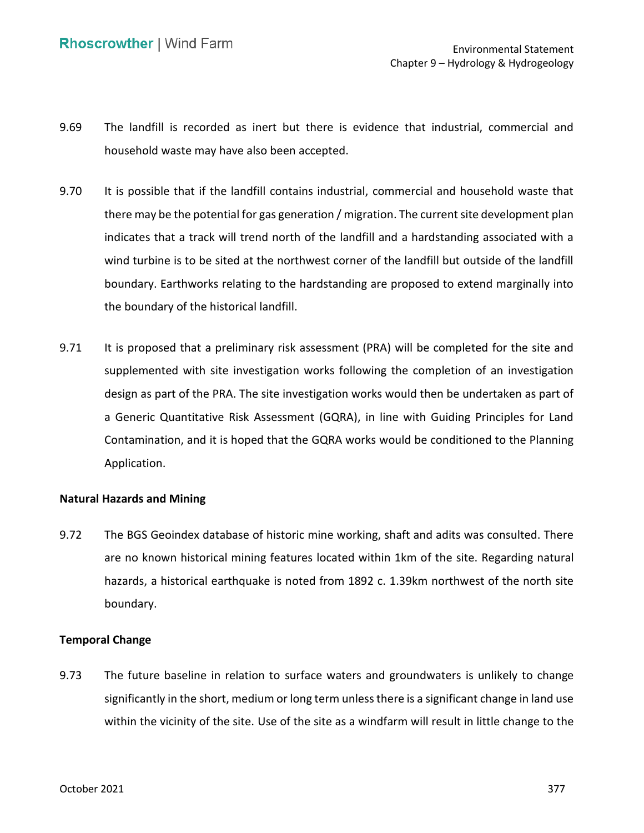- 9.69 The landfill is recorded as inert but there is evidence that industrial, commercial and household waste may have also been accepted.
- 9.70 It is possible that if the landfill contains industrial, commercial and household waste that there may be the potential for gas generation / migration. The current site development plan indicates that a track will trend north of the landfill and a hardstanding associated with a wind turbine is to be sited at the northwest corner of the landfill but outside of the landfill boundary. Earthworks relating to the hardstanding are proposed to extend marginally into the boundary of the historical landfill.
- 9.71 It is proposed that a preliminary risk assessment (PRA) will be completed for the site and supplemented with site investigation works following the completion of an investigation design as part of the PRA. The site investigation works would then be undertaken as part of a Generic Quantitative Risk Assessment (GQRA), in line with Guiding Principles for Land Contamination, and it is hoped that the GQRA works would be conditioned to the Planning Application.

### **Natural Hazards and Mining**

 9.72 The BGS Geoindex database of historic mine working, shaft and adits was consulted. There are no known historical mining features located within 1km of the site. Regarding natural hazards, a historical earthquake is noted from 1892 c. 1.39km northwest of the north site boundary.

### **Temporal Change**

 9.73 The future baseline in relation to surface waters and groundwaters is unlikely to change significantly in the short, medium or long term unless there is a significant change in land use within the vicinity of the site. Use of the site as a windfarm will result in little change to the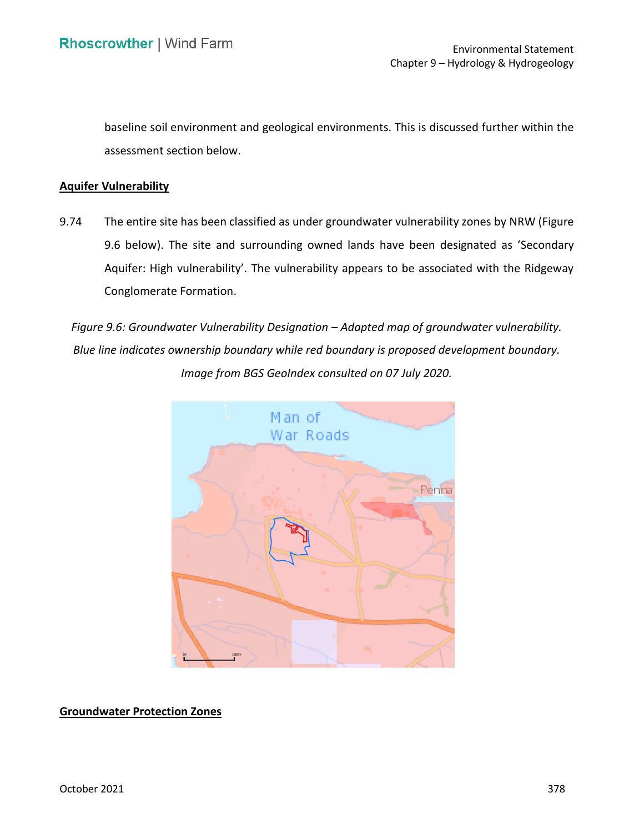baseline soil environment and geological environments. This is discussed further within the assessment section below.

## **Aquifer Vulnerability**

 9.74 The entire site has been classified as under groundwater vulnerability zones by NRW (Figure 9.6 below). The site and surrounding owned lands have been designated as 'Secondary Aquifer: High vulnerability'. The vulnerability appears to be associated with the Ridgeway Conglomerate Formation.

 *Figure 9.6: Groundwater Vulnerability Designation – Adapted map of groundwater vulnerability. Blue line indicates ownership boundary while red boundary is proposed development boundary. Image from BGS GeoIndex consulted on 07 July 2020.* 



 **Groundwater Protection Zones**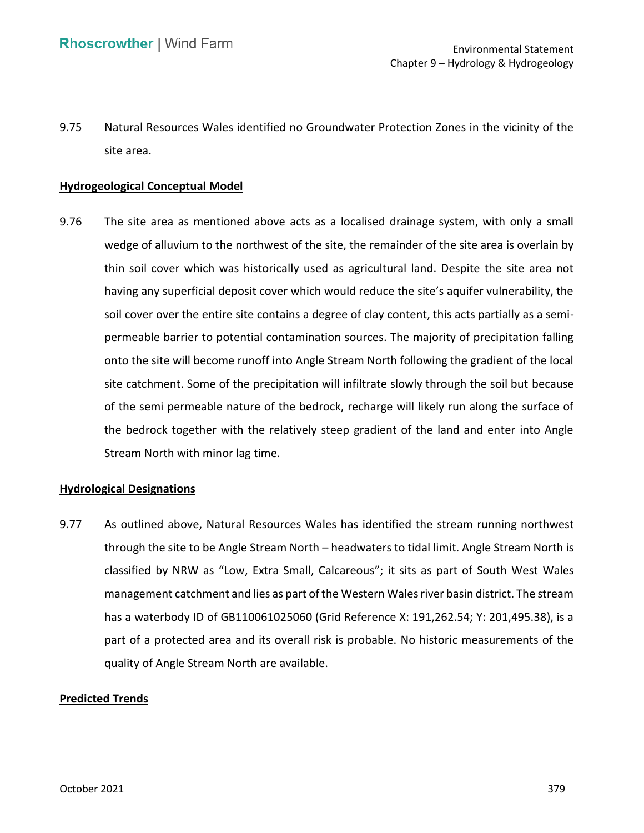9.75 Natural Resources Wales identified no Groundwater Protection Zones in the vicinity of the site area.

## **Hydrogeological Conceptual Model**

 9.76 The site area as mentioned above acts as a localised drainage system, with only a small wedge of alluvium to the northwest of the site, the remainder of the site area is overlain by thin soil cover which was historically used as agricultural land. Despite the site area not having any superficial deposit cover which would reduce the site's aquifer vulnerability, the soil cover over the entire site contains a degree of clay content, this acts partially as a semi- onto the site will become runoff into Angle Stream North following the gradient of the local site catchment. Some of the precipitation will infiltrate slowly through the soil but because of the semi permeable nature of the bedrock, recharge will likely run along the surface of the bedrock together with the relatively steep gradient of the land and enter into Angle Stream North with minor lag time. permeable barrier to potential contamination sources. The majority of precipitation falling

#### **Hydrological Designations**

 9.77 As outlined above, Natural Resources Wales has identified the stream running northwest through the site to be Angle Stream North – headwaters to tidal limit. Angle Stream North is classified by NRW as "Low, Extra Small, Calcareous"; it sits as part of South West Wales management catchment and lies as part of the Western Wales river basin district. The stream has a waterbody ID of GB110061025060 (Grid Reference X: [191,262.54;](https://191,262.54) Y: [201,495.38\)](https://201,495.38), is a part of a protected area and its overall risk is probable. No historic measurements of the quality of Angle Stream North are available.

#### **Predicted Trends**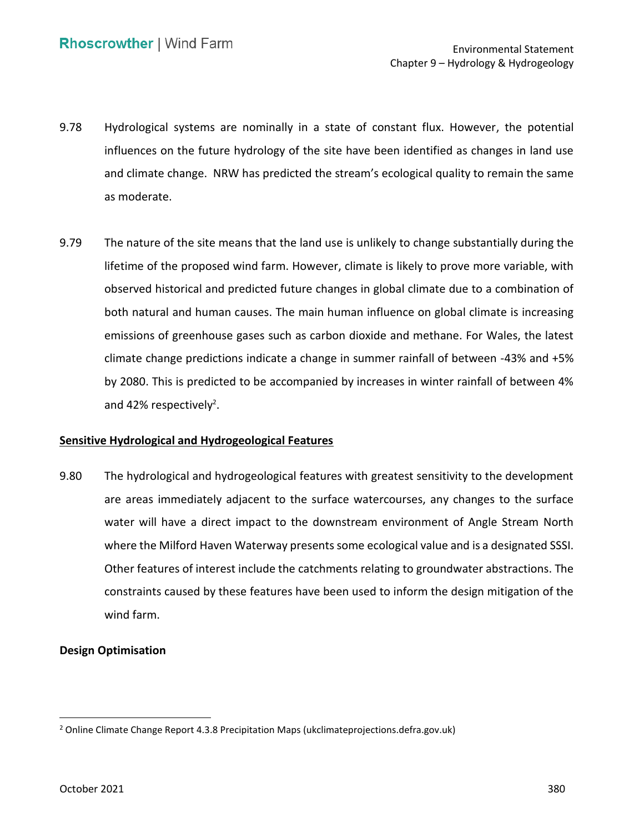- 9.78 Hydrological systems are nominally in a state of constant flux. However, the potential influences on the future hydrology of the site have been identified as changes in land use and climate change. NRW has predicted the stream's ecological quality to remain the same as moderate.
- 9.79 The nature of the site means that the land use is unlikely to change substantially during the lifetime of the proposed wind farm. However, climate is likely to prove more variable, with observed historical and predicted future changes in global climate due to a combination of both natural and human causes. The main human influence on global climate is increasing emissions of greenhouse gases such as carbon dioxide and methane. For Wales, the latest climate change predictions indicate a change in summer rainfall of between -43% and +5% by 2080. This is predicted to be accompanied by increases in winter rainfall of between 4% and 42% respectively<sup>2</sup>.

## **Sensitive Hydrological and Hydrogeological Features**

 9.80 The hydrological and hydrogeological features with greatest sensitivity to the development are areas immediately adjacent to the surface watercourses, any changes to the surface water will have a direct impact to the downstream environment of Angle Stream North where the Milford Haven Waterway presents some ecological value and is a designated SSSI. Other features of interest include the catchments relating to groundwater abstractions. The constraints caused by these features have been used to inform the design mitigation of the wind farm.

## **Design Optimisation**

<sup>&</sup>lt;sup>2</sup> Online Climate Change Report 4.3.8 Precipitation Maps (ukclimateprojections.defra.gov.uk)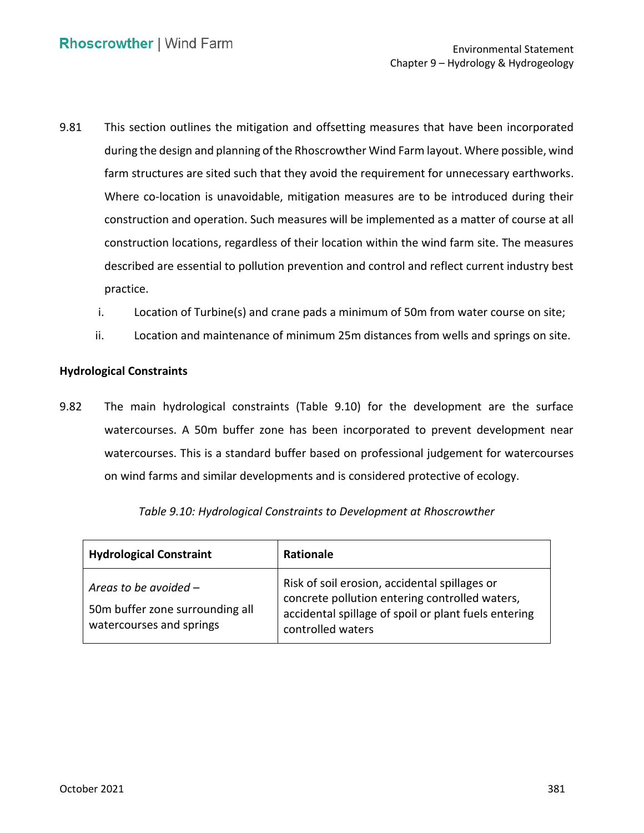- 9.81 This section outlines the mitigation and offsetting measures that have been incorporated during the design and planning of the Rhoscrowther Wind Farm layout. Where possible, wind farm structures are sited such that they avoid the requirement for unnecessary earthworks. Where co-location is unavoidable, mitigation measures are to be introduced during their construction and operation. Such measures will be implemented as a matter of course at all construction locations, regardless of their location within the wind farm site. The measures described are essential to pollution prevention and control and reflect current industry best practice.
	- i. Location of Turbine(s) and crane pads a minimum of 50m from water course on site;
	- ii. Location and maintenance of minimum 25m distances from wells and springs on site.

### **Hydrological Constraints**

 9.82 The main hydrological constraints (Table 9.10) for the development are the surface watercourses. A 50m buffer zone has been incorporated to prevent development near watercourses. This is a standard buffer based on professional judgement for watercourses on wind farms and similar developments and is considered protective of ecology.

| <b>Hydrological Constraint</b>                                                         | Rationale                                                                                                                                                                    |
|----------------------------------------------------------------------------------------|------------------------------------------------------------------------------------------------------------------------------------------------------------------------------|
| Areas to be avoided $-$<br>50m buffer zone surrounding all<br>watercourses and springs | Risk of soil erosion, accidental spillages or<br>concrete pollution entering controlled waters,<br>accidental spillage of spoil or plant fuels entering<br>controlled waters |

 *Table 9.10: Hydrological Constraints to Development at Rhoscrowther*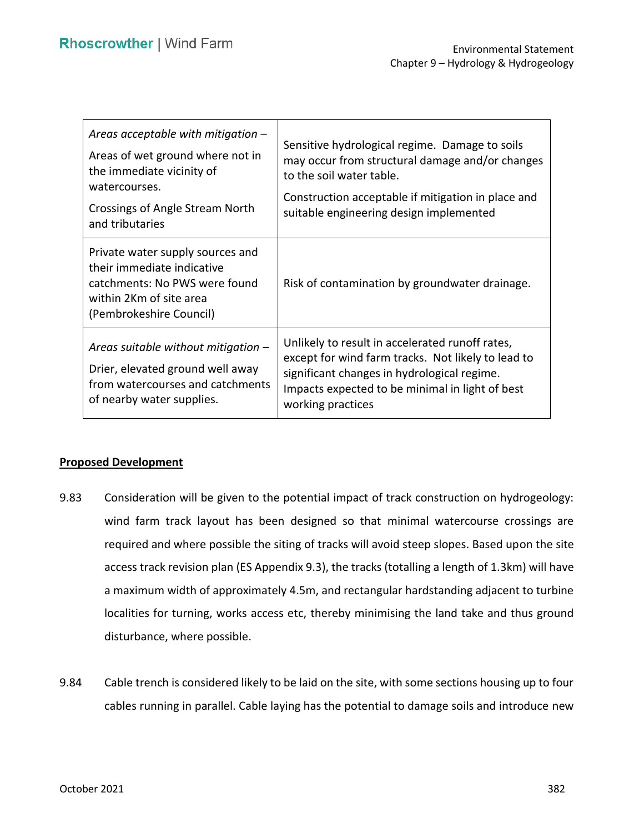| Areas acceptable with mitigation $-$<br>Areas of wet ground where not in<br>the immediate vicinity of<br>watercourses.<br>Crossings of Angle Stream North<br>and tributaries | Sensitive hydrological regime. Damage to soils<br>may occur from structural damage and/or changes<br>to the soil water table.<br>Construction acceptable if mitigation in place and<br>suitable engineering design implemented |
|------------------------------------------------------------------------------------------------------------------------------------------------------------------------------|--------------------------------------------------------------------------------------------------------------------------------------------------------------------------------------------------------------------------------|
| Private water supply sources and<br>their immediate indicative<br>catchments: No PWS were found<br>within 2Km of site area<br>(Pembrokeshire Council)                        | Risk of contamination by groundwater drainage.                                                                                                                                                                                 |
| Areas suitable without mitigation $-$<br>Drier, elevated ground well away<br>from watercourses and catchments<br>of nearby water supplies.                                   | Unlikely to result in accelerated runoff rates,<br>except for wind farm tracks. Not likely to lead to<br>significant changes in hydrological regime.<br>Impacts expected to be minimal in light of best<br>working practices   |

### **Proposed Development**

- 9.83 Consideration will be given to the potential impact of track construction on hydrogeology: wind farm track layout has been designed so that minimal watercourse crossings are required and where possible the siting of tracks will avoid steep slopes. Based upon the site access track revision plan (ES Appendix 9.3), the tracks (totalling a length of 1.3km) will have a maximum width of approximately 4.5m, and rectangular hardstanding adjacent to turbine localities for turning, works access etc, thereby minimising the land take and thus ground disturbance, where possible.
- 9.84 Cable trench is considered likely to be laid on the site, with some sections housing up to four cables running in parallel. Cable laying has the potential to damage soils and introduce new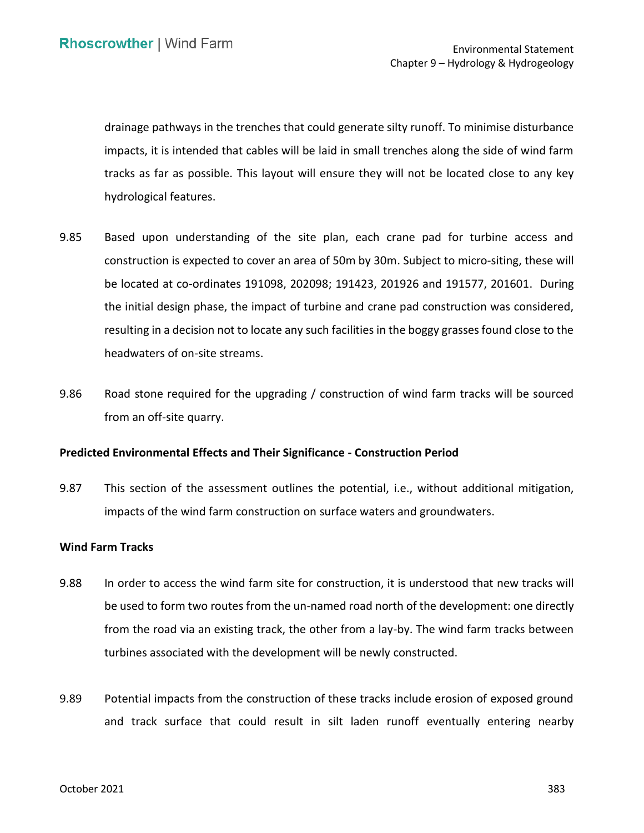drainage pathways in the trenches that could generate silty runoff. To minimise disturbance impacts, it is intended that cables will be laid in small trenches along the side of wind farm tracks as far as possible. This layout will ensure they will not be located close to any key hydrological features.

- 9.85 Based upon understanding of the site plan, each crane pad for turbine access and construction is expected to cover an area of 50m by 30m. Subject to micro-siting, these will be located at co-ordinates 191098, 202098; 191423, 201926 and 191577, 201601. During the initial design phase, the impact of turbine and crane pad construction was considered, resulting in a decision not to locate any such facilities in the boggy grasses found close to the headwaters of on-site streams.
- 9.86 Road stone required for the upgrading / construction of wind farm tracks will be sourced from an off-site quarry.

#### **Predicted Environmental Effects and Their Significance - Construction Period**

 9.87 This section of the assessment outlines the potential, i.e., without additional mitigation, impacts of the wind farm construction on surface waters and groundwaters.

### **Wind Farm Tracks**

- 9.88 In order to access the wind farm site for construction, it is understood that new tracks will be used to form two routes from the un-named road north of the development: one directly from the road via an existing track, the other from a lay-by. The wind farm tracks between turbines associated with the development will be newly constructed.
- 9.89 Potential impacts from the construction of these tracks include erosion of exposed ground and track surface that could result in silt laden runoff eventually entering nearby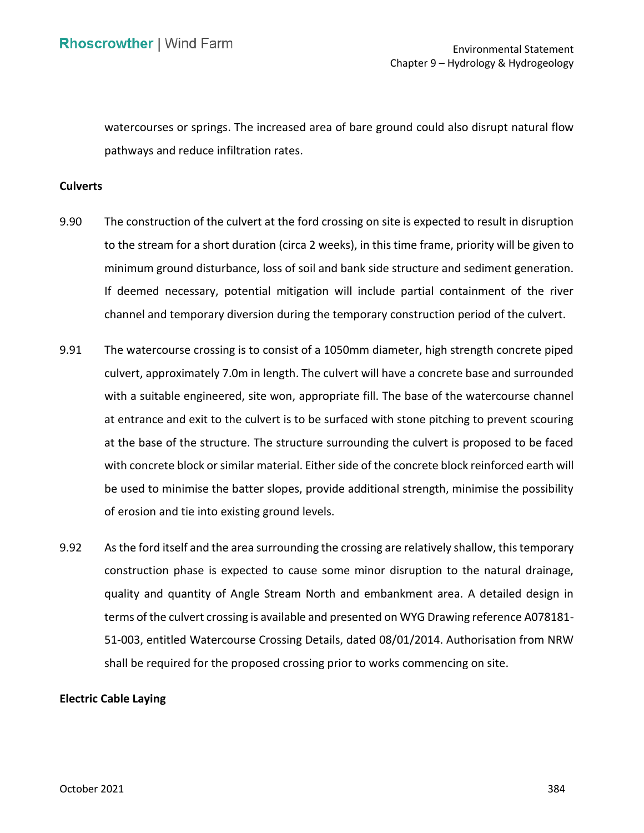watercourses or springs. The increased area of bare ground could also disrupt natural flow pathways and reduce infiltration rates.

#### **Culverts**

- 9.90 The construction of the culvert at the ford crossing on site is expected to result in disruption to the stream for a short duration (circa 2 weeks), in this time frame, priority will be given to minimum ground disturbance, loss of soil and bank side structure and sediment generation. If deemed necessary, potential mitigation will include partial containment of the river channel and temporary diversion during the temporary construction period of the culvert.
- 9.91 The watercourse crossing is to consist of a 1050mm diameter, high strength concrete piped culvert, approximately 7.0m in length. The culvert will have a concrete base and surrounded with a suitable engineered, site won, appropriate fill. The base of the watercourse channel at entrance and exit to the culvert is to be surfaced with stone pitching to prevent scouring at the base of the structure. The structure surrounding the culvert is proposed to be faced with concrete block or similar material. Either side of the concrete block reinforced earth will of erosion and tie into existing ground levels. be used to minimise the batter slopes, provide additional strength, minimise the possibility
- 9.92 As the ford itself and the area surrounding the crossing are relatively shallow, this temporary construction phase is expected to cause some minor disruption to the natural drainage, quality and quantity of Angle Stream North and embankment area. A detailed design in terms of the culvert crossing is available and presented on WYG Drawing reference A078181- 51-003, entitled Watercourse Crossing Details, dated 08/01/2014. Authorisation from NRW shall be required for the proposed crossing prior to works commencing on site.

#### **Electric Cable Laying**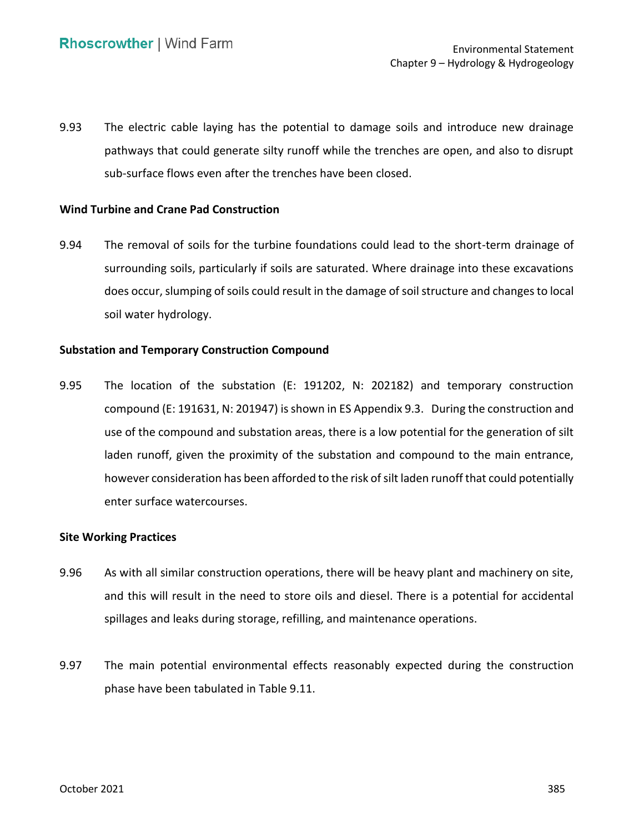9.93 The electric cable laying has the potential to damage soils and introduce new drainage pathways that could generate silty runoff while the trenches are open, and also to disrupt sub-surface flows even after the trenches have been closed.

## **Wind Turbine and Crane Pad Construction**

 9.94 The removal of soils for the turbine foundations could lead to the short-term drainage of surrounding soils, particularly if soils are saturated. Where drainage into these excavations does occur, slumping of soils could result in the damage of soil structure and changes to local soil water hydrology.

## **Substation and Temporary Construction Compound**

 9.95 The location of the substation (E: 191202, N: 202182) and temporary construction compound (E: 191631, N: 201947) is shown in ES Appendix 9.3. During the construction and use of the compound and substation areas, there is a low potential for the generation of silt laden runoff, given the proximity of the substation and compound to the main entrance, however consideration has been afforded to the risk of silt laden runoff that could potentially enter surface watercourses.

## **Site Working Practices**

- 9.96 As with all similar construction operations, there will be heavy plant and machinery on site, and this will result in the need to store oils and diesel. There is a potential for accidental spillages and leaks during storage, refilling, and maintenance operations.
- 9.97 The main potential environmental effects reasonably expected during the construction phase have been tabulated in Table 9.11.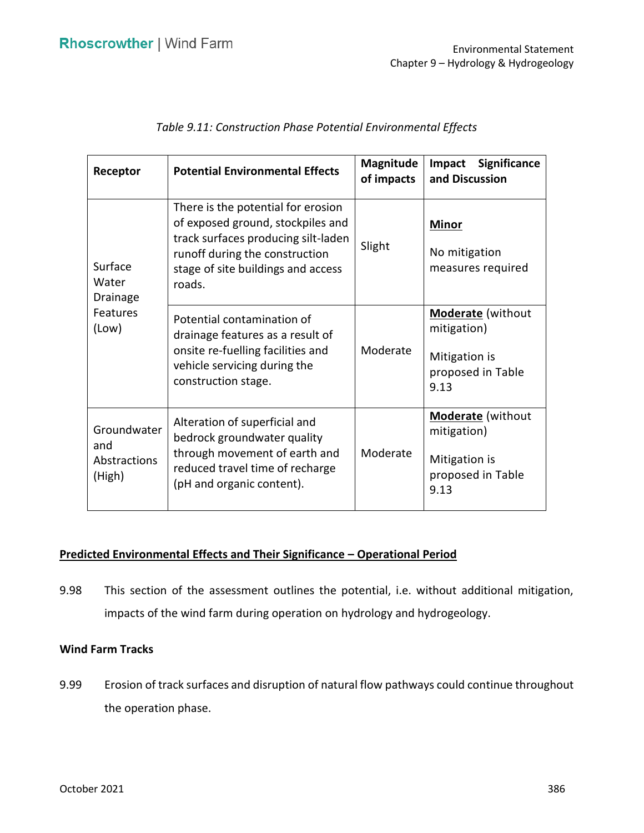| Receptor                                          | <b>Potential Environmental Effects</b>                                                                                                                                                           | <b>Magnitude</b><br>of impacts | Significance<br>Impact<br>and Discussion                                              |  |
|---------------------------------------------------|--------------------------------------------------------------------------------------------------------------------------------------------------------------------------------------------------|--------------------------------|---------------------------------------------------------------------------------------|--|
| Surface<br>Water<br>Drainage<br>Features<br>(Low) | There is the potential for erosion<br>of exposed ground, stockpiles and<br>track surfaces producing silt-laden<br>runoff during the construction<br>stage of site buildings and access<br>roads. | Slight                         | <b>Minor</b><br>No mitigation<br>measures required                                    |  |
|                                                   | Potential contamination of<br>drainage features as a result of<br>onsite re-fuelling facilities and<br>vehicle servicing during the<br>construction stage.                                       | Moderate                       | <b>Moderate</b> (without<br>mitigation)<br>Mitigation is<br>proposed in Table<br>9.13 |  |
| Groundwater<br>and<br>Abstractions<br>(High)      | Alteration of superficial and<br>bedrock groundwater quality<br>through movement of earth and<br>reduced travel time of recharge<br>(pH and organic content).                                    | Moderate                       | <b>Moderate</b> (without<br>mitigation)<br>Mitigation is<br>proposed in Table<br>9.13 |  |

## **Predicted Environmental Effects and Their Significance – Operational Period**

 9.98 This section of the assessment outlines the potential, i.e. without additional mitigation, impacts of the wind farm during operation on hydrology and hydrogeology.

## **Wind Farm Tracks**

 9.99 Erosion of track surfaces and disruption of natural flow pathways could continue throughout the operation phase.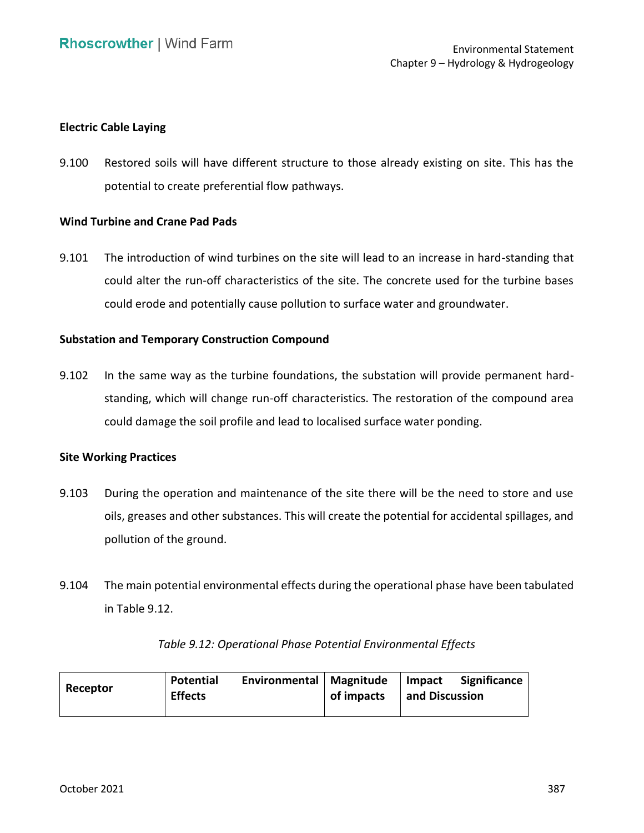### **Electric Cable Laying**

 9.100 Restored soils will have different structure to those already existing on site. This has the potential to create preferential flow pathways.

## **Wind Turbine and Crane Pad Pads**

 9.101 The introduction of wind turbines on the site will lead to an increase in hard-standing that could alter the run-off characteristics of the site. The concrete used for the turbine bases could erode and potentially cause pollution to surface water and groundwater.

### **Substation and Temporary Construction Compound**

 9.102 In the same way as the turbine foundations, the substation will provide permanent hard- standing, which will change run-off characteristics. The restoration of the compound area could damage the soil profile and lead to localised surface water ponding.

#### **Site Working Practices**

- 9.103 During the operation and maintenance of the site there will be the need to store and use oils, greases and other substances. This will create the potential for accidental spillages, and pollution of the ground.
- 9.104 The main potential environmental effects during the operational phase have been tabulated in Table 9.12.

| Receptor | <b>Potential</b><br><b>Effects</b> | Environmental   Magnitude | of impacts | Impact<br>and Discussion | <b>Significance</b> |
|----------|------------------------------------|---------------------------|------------|--------------------------|---------------------|
|----------|------------------------------------|---------------------------|------------|--------------------------|---------------------|

### *Table 9.12: Operational Phase Potential Environmental Effects*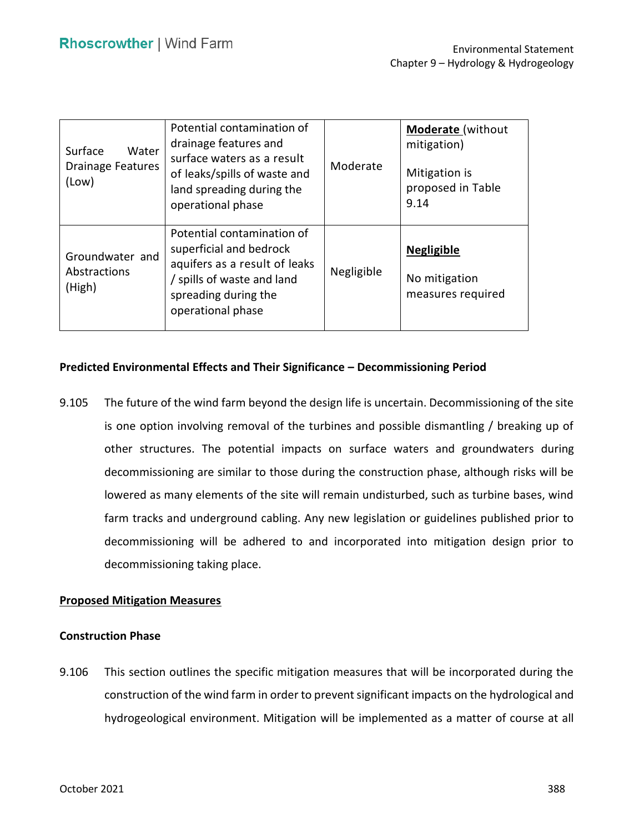| Surface<br>Water<br><b>Drainage Features</b><br>(Low) | Potential contamination of<br>drainage features and<br>surface waters as a result<br>of leaks/spills of waste and<br>land spreading during the<br>operational phase | Moderate   | <b>Moderate</b> (without<br>mitigation)<br>Mitigation is<br>proposed in Table<br>9.14 |
|-------------------------------------------------------|---------------------------------------------------------------------------------------------------------------------------------------------------------------------|------------|---------------------------------------------------------------------------------------|
| Groundwater and<br>Abstractions<br>(High)             | Potential contamination of<br>superficial and bedrock<br>aquifers as a result of leaks<br>/ spills of waste and land<br>spreading during the<br>operational phase   | Negligible | <b>Negligible</b><br>No mitigation<br>measures required                               |

## **Predicted Environmental Effects and Their Significance – Decommissioning Period**

 9.105 The future of the wind farm beyond the design life is uncertain. Decommissioning of the site is one option involving removal of the turbines and possible dismantling / breaking up of decommissioning are similar to those during the construction phase, although risks will be lowered as many elements of the site will remain undisturbed, such as turbine bases, wind farm tracks and underground cabling. Any new legislation or guidelines published prior to decommissioning will be adhered to and incorporated into mitigation design prior to other structures. The potential impacts on surface waters and groundwaters during decommissioning taking place.

### **Proposed Mitigation Measures**

### **Construction Phase**

 9.106 This section outlines the specific mitigation measures that will be incorporated during the construction of the wind farm in order to prevent significant impacts on the hydrological and hydrogeological environment. Mitigation will be implemented as a matter of course at all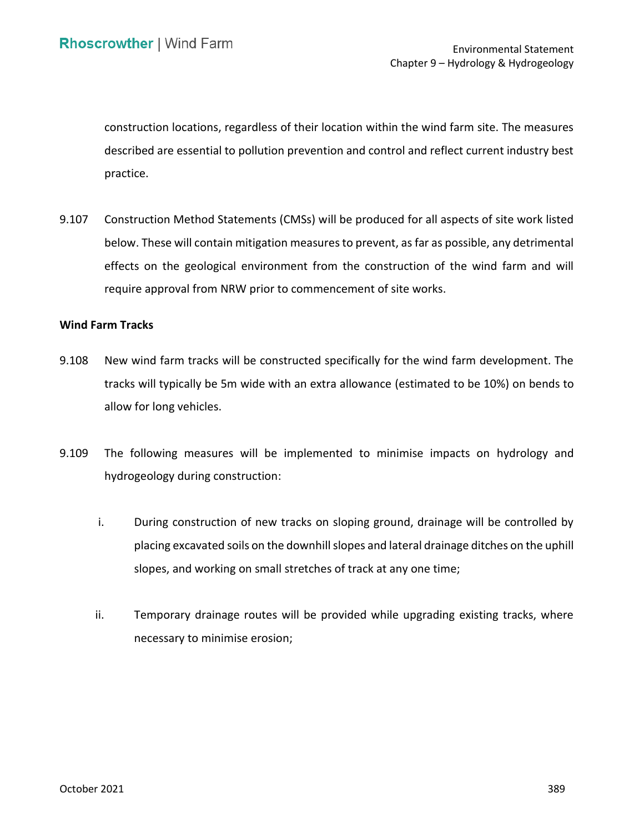construction locations, regardless of their location within the wind farm site. The measures described are essential to pollution prevention and control and reflect current industry best practice.

 9.107 Construction Method Statements (CMSs) will be produced for all aspects of site work listed below. These will contain mitigation measures to prevent, as far as possible, any detrimental effects on the geological environment from the construction of the wind farm and will require approval from NRW prior to commencement of site works.

#### **Wind Farm Tracks**

- 9.108 New wind farm tracks will be constructed specifically for the wind farm development. The tracks will typically be 5m wide with an extra allowance (estimated to be 10%) on bends to allow for long vehicles.
- 9.109 The following measures will be implemented to minimise impacts on hydrology and hydrogeology during construction:
	- i. During construction of new tracks on sloping ground, drainage will be controlled by placing excavated soils on the downhill slopes and lateral drainage ditches on the uphill slopes, and working on small stretches of track at any one time;
	- ii. Temporary drainage routes will be provided while upgrading existing tracks, where necessary to minimise erosion;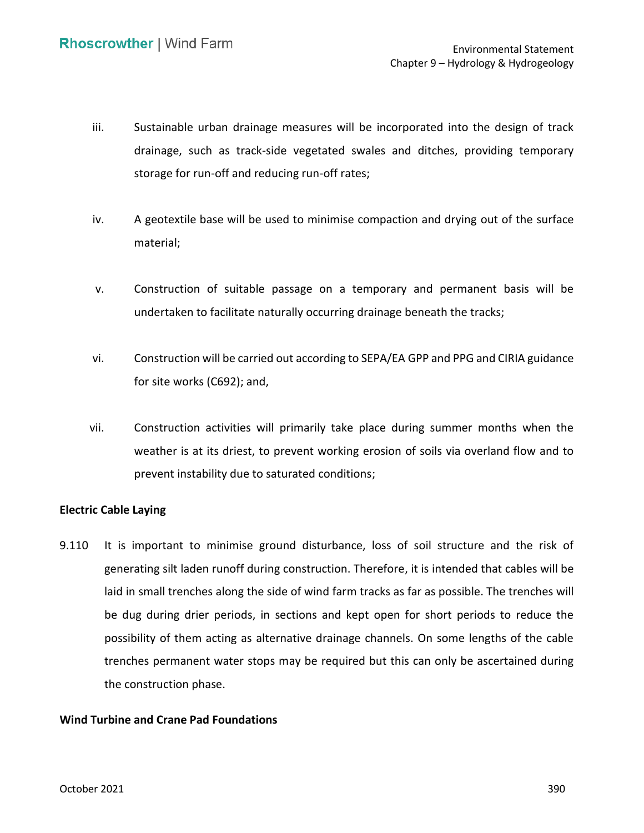- iii. Sustainable urban drainage measures will be incorporated into the design of track drainage, such as track-side vegetated swales and ditches, providing temporary storage for run-off and reducing run-off rates;
- iv. A geotextile base will be used to minimise compaction and drying out of the surface material;
- v. Construction of suitable passage on a temporary and permanent basis will be undertaken to facilitate naturally occurring drainage beneath the tracks;
- vi. Construction will be carried out according to SEPA/EA GPP and PPG and CIRIA guidance for site works (C692); and,
- vii. Construction activities will primarily take place during summer months when the weather is at its driest, to prevent working erosion of soils via overland flow and to prevent instability due to saturated conditions;

## **Electric Cable Laying**

 9.110 It is important to minimise ground disturbance, loss of soil structure and the risk of generating silt laden runoff during construction. Therefore, it is intended that cables will be laid in small trenches along the side of wind farm tracks as far as possible. The trenches will be dug during drier periods, in sections and kept open for short periods to reduce the possibility of them acting as alternative drainage channels. On some lengths of the cable trenches permanent water stops may be required but this can only be ascertained during the construction phase.

## **Wind Turbine and Crane Pad Foundations**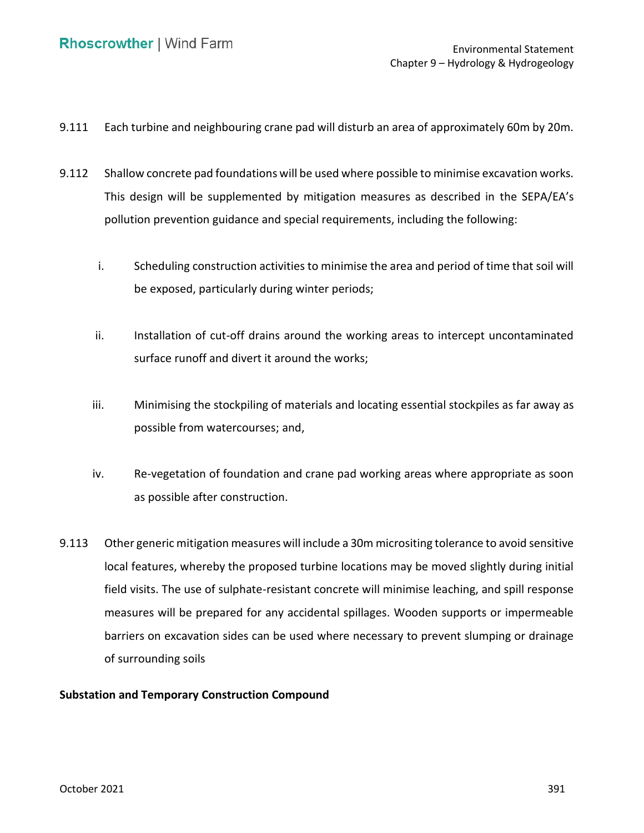- 9.111 Each turbine and neighbouring crane pad will disturb an area of approximately 60m by 20m.
- 9.112 Shallow concrete pad foundations will be used where possible to minimise excavation works. This design will be supplemented by mitigation measures as described in the SEPA/EA's pollution prevention guidance and special requirements, including the following:
	- i. Scheduling construction activities to minimise the area and period of time that soil will be exposed, particularly during winter periods;
	- ii. Installation of cut-off drains around the working areas to intercept uncontaminated surface runoff and divert it around the works;
	- possible from watercourses; and, iii. Minimising the stockpiling of materials and locating essential stockpiles as far away as
	- iv. Re-vegetation of foundation and crane pad working areas where appropriate as soon as possible after construction.
- 9.113 Other generic mitigation measures will include a 30m micrositing tolerance to avoid sensitive local features, whereby the proposed turbine locations may be moved slightly during initial field visits. The use of sulphate-resistant concrete will minimise leaching, and spill response measures will be prepared for any accidental spillages. Wooden supports or impermeable barriers on excavation sides can be used where necessary to prevent slumping or drainage of surrounding soils

## **Substation and Temporary Construction Compound**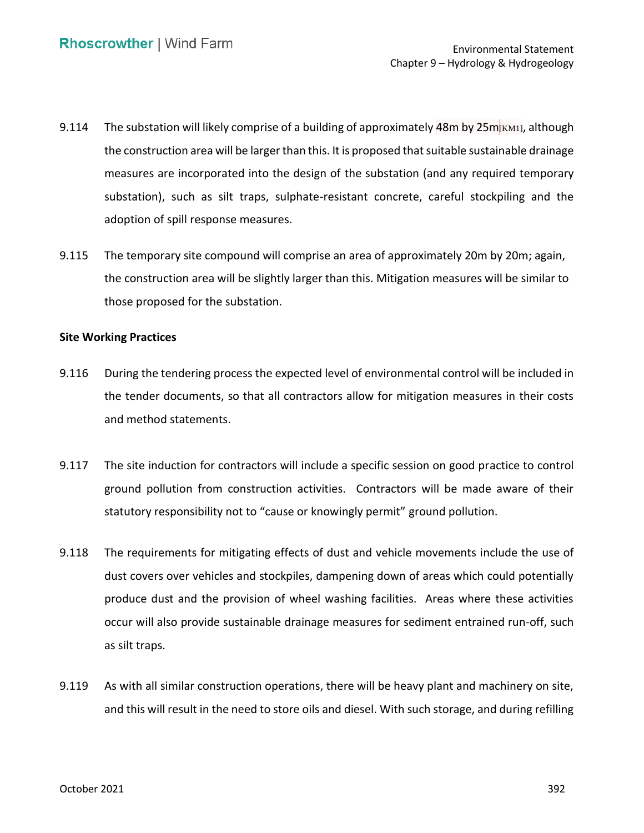- 9.114 The substation will likely comprise of a building of approximately 48m by 25m $_{\rm [KM1]}$ , although the construction area will be larger than this. It is proposed that suitable sustainable drainage measures are incorporated into the design of the substation (and any required temporary substation), such as silt traps, sulphate-resistant concrete, careful stockpiling and the adoption of spill response measures.
- 9.115 The temporary site compound will comprise an area of approximately 20m by 20m; again, the construction area will be slightly larger than this. Mitigation measures will be similar to those proposed for the substation.

#### **Site Working Practices**

- 9.116 During the tendering process the expected level of environmental control will be included in the tender documents, so that all contractors allow for mitigation measures in their costs and method statements.
- 9.117 The site induction for contractors will include a specific session on good practice to control ground pollution from construction activities. Contractors will be made aware of their statutory responsibility not to "cause or knowingly permit" ground pollution.
- 9.118 The requirements for mitigating effects of dust and vehicle movements include the use of dust covers over vehicles and stockpiles, dampening down of areas which could potentially produce dust and the provision of wheel washing facilities. Areas where these activities occur will also provide sustainable drainage measures for sediment entrained run-off, such as silt traps.
- 9.119 As with all similar construction operations, there will be heavy plant and machinery on site, and this will result in the need to store oils and diesel. With such storage, and during refilling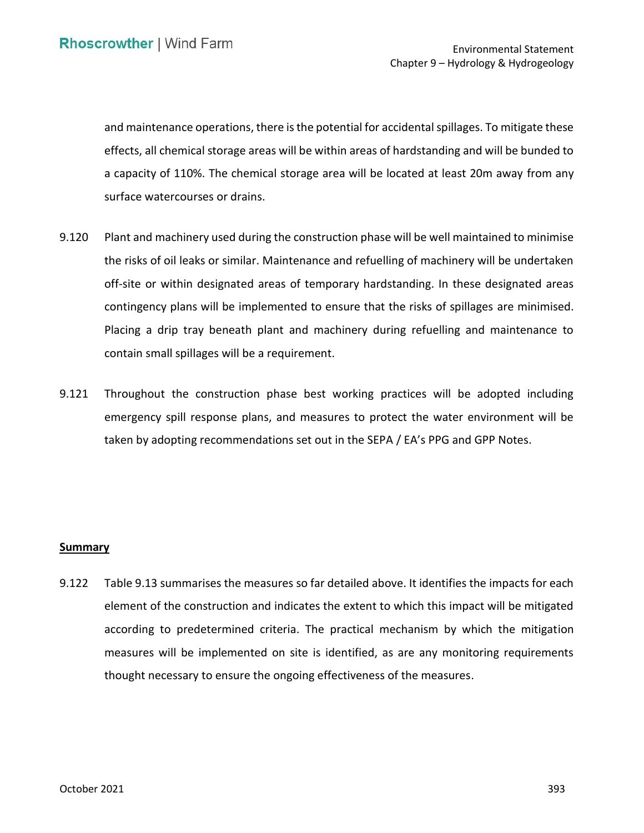and maintenance operations, there is the potential for accidental spillages. To mitigate these effects, all chemical storage areas will be within areas of hardstanding and will be bunded to a capacity of 110%. The chemical storage area will be located at least 20m away from any surface watercourses or drains.

- 9.120 Plant and machinery used during the construction phase will be well maintained to minimise the risks of oil leaks or similar. Maintenance and refuelling of machinery will be undertaken off-site or within designated areas of temporary hardstanding. In these designated areas contingency plans will be implemented to ensure that the risks of spillages are minimised. Placing a drip tray beneath plant and machinery during refuelling and maintenance to contain small spillages will be a requirement.
- 9.121 Throughout the construction phase best working practices will be adopted including emergency spill response plans, and measures to protect the water environment will be taken by adopting recommendations set out in the SEPA / EA's PPG and GPP Notes.

#### **Summary**

 9.122 Table 9.13 summarises the measures so far detailed above. It identifies the impacts for each element of the construction and indicates the extent to which this impact will be mitigated according to predetermined criteria. The practical mechanism by which the mitigation measures will be implemented on site is identified, as are any monitoring requirements thought necessary to ensure the ongoing effectiveness of the measures.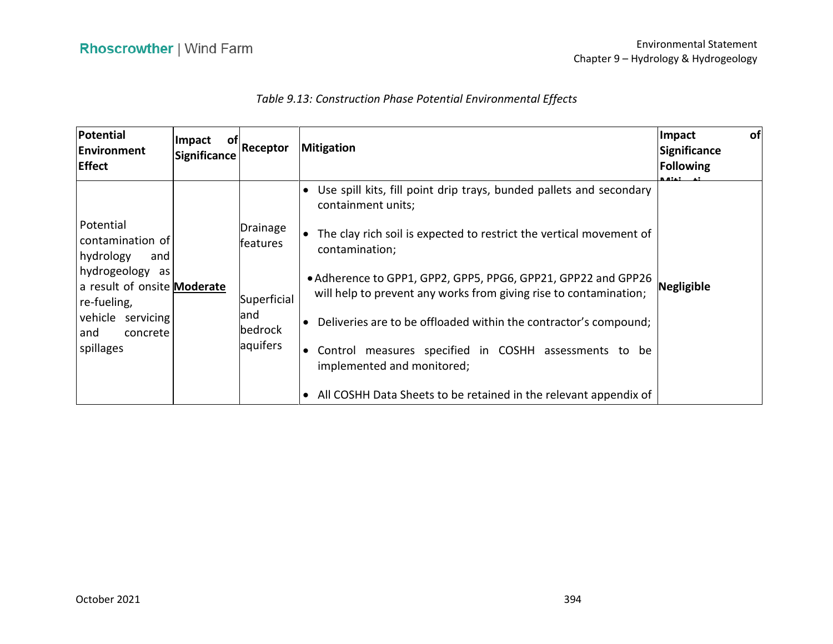## *Table 9.13: Construction Phase Potential Environmental Effects*

| <b>Potential</b><br><b>Environment</b><br><b>Effect</b>                                                                                                                      | Impact<br>_of  <br><b>Significance</b> | Receptor                                                          | <b>Mitigation</b>                                                                                                                                                                                                                                                                                                                                                                                                                                                                   | of<br>Impact<br>Significance<br>Following<br>R AILI |
|------------------------------------------------------------------------------------------------------------------------------------------------------------------------------|----------------------------------------|-------------------------------------------------------------------|-------------------------------------------------------------------------------------------------------------------------------------------------------------------------------------------------------------------------------------------------------------------------------------------------------------------------------------------------------------------------------------------------------------------------------------------------------------------------------------|-----------------------------------------------------|
| Potential<br>contamination of<br>hydrology<br>and<br>hydrogeology<br>as l<br>a result of onsite Moderate<br>re-fueling,<br>vehicle servicing<br>concrete<br>and<br>spillages |                                        | Drainage<br>features<br>Superficial<br>and<br>bedrock<br>aquifers | Use spill kits, fill point drip trays, bunded pallets and secondary<br>containment units;<br>The clay rich soil is expected to restrict the vertical movement of<br>contamination;<br>• Adherence to GPP1, GPP2, GPP5, PPG6, GPP21, GPP22 and GPP26<br>will help to prevent any works from giving rise to contamination;<br>Deliveries are to be offloaded within the contractor's compound;<br>Control measures specified in COSHH assessments to be<br>implemented and monitored; | Negligible                                          |
|                                                                                                                                                                              |                                        |                                                                   | All COSHH Data Sheets to be retained in the relevant appendix of                                                                                                                                                                                                                                                                                                                                                                                                                    |                                                     |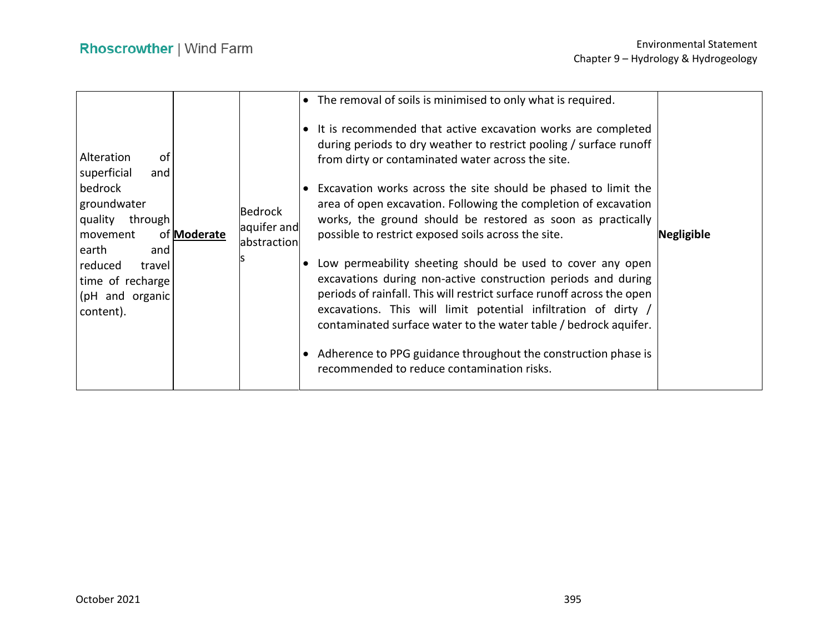| Alteration<br>of<br>superficial<br>and<br>bedrock<br>groundwater<br>quality through<br>movement<br>earth<br>and<br>reduced<br>travel<br>time of recharge<br>(pH and organic<br>content). | of <b>Moderate</b> | Bedrock<br>aquifer and<br>abstraction | • The removal of soils is minimised to only what is required.<br>It is recommended that active excavation works are completed<br>during periods to dry weather to restrict pooling / surface runoff<br>from dirty or contaminated water across the site.<br>Excavation works across the site should be phased to limit the<br>area of open excavation. Following the completion of excavation<br>works, the ground should be restored as soon as practically<br>possible to restrict exposed soils across the site.<br>Low permeability sheeting should be used to cover any open<br>excavations during non-active construction periods and during<br>periods of rainfall. This will restrict surface runoff across the open<br>excavations. This will limit potential infiltration of dirty /<br>contaminated surface water to the water table / bedrock aquifer.<br>• Adherence to PPG guidance throughout the construction phase is<br>recommended to reduce contamination risks. | <b>Negligible</b> |
|------------------------------------------------------------------------------------------------------------------------------------------------------------------------------------------|--------------------|---------------------------------------|--------------------------------------------------------------------------------------------------------------------------------------------------------------------------------------------------------------------------------------------------------------------------------------------------------------------------------------------------------------------------------------------------------------------------------------------------------------------------------------------------------------------------------------------------------------------------------------------------------------------------------------------------------------------------------------------------------------------------------------------------------------------------------------------------------------------------------------------------------------------------------------------------------------------------------------------------------------------------------------|-------------------|
|------------------------------------------------------------------------------------------------------------------------------------------------------------------------------------------|--------------------|---------------------------------------|--------------------------------------------------------------------------------------------------------------------------------------------------------------------------------------------------------------------------------------------------------------------------------------------------------------------------------------------------------------------------------------------------------------------------------------------------------------------------------------------------------------------------------------------------------------------------------------------------------------------------------------------------------------------------------------------------------------------------------------------------------------------------------------------------------------------------------------------------------------------------------------------------------------------------------------------------------------------------------------|-------------------|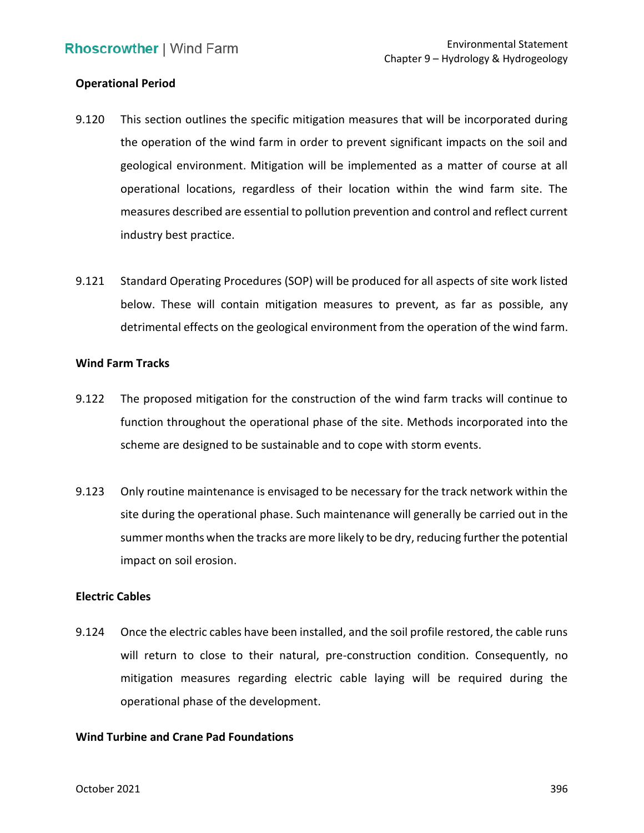### **Operational Period**

- 9.120 This section outlines the specific mitigation measures that will be incorporated during the operation of the wind farm in order to prevent significant impacts on the soil and geological environment. Mitigation will be implemented as a matter of course at all operational locations, regardless of their location within the wind farm site. The measures described are essential to pollution prevention and control and reflect current industry best practice.
- 9.121 Standard Operating Procedures (SOP) will be produced for all aspects of site work listed below. These will contain mitigation measures to prevent, as far as possible, any detrimental effects on the geological environment from the operation of the wind farm.

#### **Wind Farm Tracks**

- 9.122 The proposed mitigation for the construction of the wind farm tracks will continue to function throughout the operational phase of the site. Methods incorporated into the scheme are designed to be sustainable and to cope with storm events.
- 9.123 Only routine maintenance is envisaged to be necessary for the track network within the site during the operational phase. Such maintenance will generally be carried out in the summer months when the tracks are more likely to be dry, reducing further the potential impact on soil erosion.

### **Electric Cables**

 9.124 Once the electric cables have been installed, and the soil profile restored, the cable runs will return to close to their natural, pre-construction condition. Consequently, no mitigation measures regarding electric cable laying will be required during the operational phase of the development.

## **Wind Turbine and Crane Pad Foundations**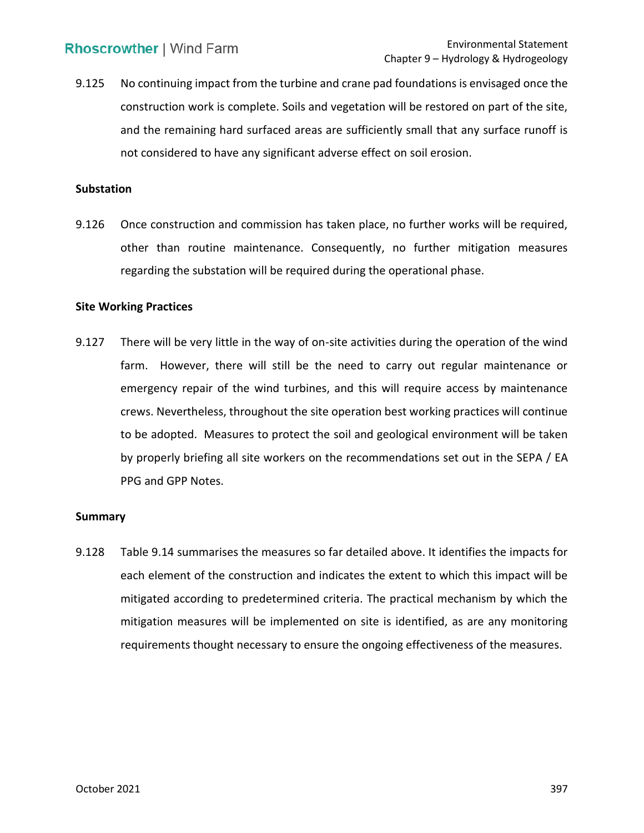9.125 No continuing impact from the turbine and crane pad foundations is envisaged once the construction work is complete. Soils and vegetation will be restored on part of the site, and the remaining hard surfaced areas are sufficiently small that any surface runoff is not considered to have any significant adverse effect on soil erosion.

#### **Substation**

 9.126 Once construction and commission has taken place, no further works will be required, other than routine maintenance. Consequently, no further mitigation measures regarding the substation will be required during the operational phase.

### **Site Working Practices**

 9.127 There will be very little in the way of on-site activities during the operation of the wind farm. However, there will still be the need to carry out regular maintenance or emergency repair of the wind turbines, and this will require access by maintenance crews. Nevertheless, throughout the site operation best working practices will continue to be adopted. Measures to protect the soil and geological environment will be taken by properly briefing all site workers on the recommendations set out in the SEPA / EA PPG and GPP Notes.

#### **Summary**

 9.128 Table 9.14 summarises the measures so far detailed above. It identifies the impacts for each element of the construction and indicates the extent to which this impact will be mitigated according to predetermined criteria. The practical mechanism by which the mitigation measures will be implemented on site is identified, as are any monitoring requirements thought necessary to ensure the ongoing effectiveness of the measures.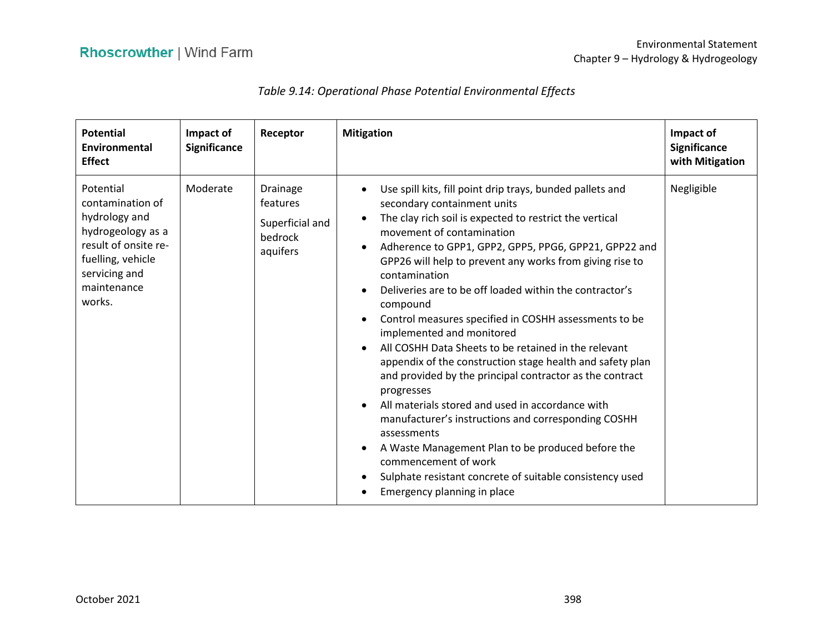# *Table 9.14: Operational Phase Potential Environmental Effects*

| <b>Potential</b><br>Environmental<br><b>Effect</b>                                                                                                         | Impact of<br><b>Significance</b> | Receptor                                                       | <b>Mitigation</b>                                                                                                                                                                                                                                                                                                                                                                                                                                                                                                                                                                                                                                                                                                                                                                                                                                                                                                                                                                                              | Impact of<br><b>Significance</b><br>with Mitigation |
|------------------------------------------------------------------------------------------------------------------------------------------------------------|----------------------------------|----------------------------------------------------------------|----------------------------------------------------------------------------------------------------------------------------------------------------------------------------------------------------------------------------------------------------------------------------------------------------------------------------------------------------------------------------------------------------------------------------------------------------------------------------------------------------------------------------------------------------------------------------------------------------------------------------------------------------------------------------------------------------------------------------------------------------------------------------------------------------------------------------------------------------------------------------------------------------------------------------------------------------------------------------------------------------------------|-----------------------------------------------------|
| Potential<br>contamination of<br>hydrology and<br>hydrogeology as a<br>result of onsite re-<br>fuelling, vehicle<br>servicing and<br>maintenance<br>works. | Moderate                         | Drainage<br>features<br>Superficial and<br>bedrock<br>aquifers | Use spill kits, fill point drip trays, bunded pallets and<br>secondary containment units<br>The clay rich soil is expected to restrict the vertical<br>movement of contamination<br>Adherence to GPP1, GPP2, GPP5, PPG6, GPP21, GPP22 and<br>GPP26 will help to prevent any works from giving rise to<br>contamination<br>Deliveries are to be off loaded within the contractor's<br>compound<br>Control measures specified in COSHH assessments to be<br>$\bullet$<br>implemented and monitored<br>All COSHH Data Sheets to be retained in the relevant<br>appendix of the construction stage health and safety plan<br>and provided by the principal contractor as the contract<br>progresses<br>All materials stored and used in accordance with<br>manufacturer's instructions and corresponding COSHH<br>assessments<br>A Waste Management Plan to be produced before the<br>$\bullet$<br>commencement of work<br>Sulphate resistant concrete of suitable consistency used<br>Emergency planning in place | Negligible                                          |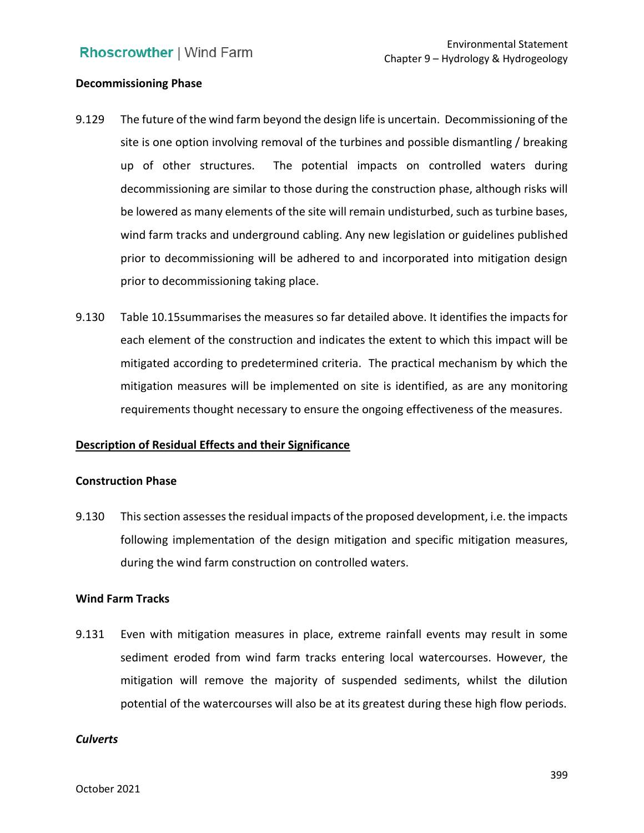### **Decommissioning Phase**

- 9.129 The future of the wind farm beyond the design life is uncertain. Decommissioning of the site is one option involving removal of the turbines and possible dismantling / breaking up of other structures. The potential impacts on controlled waters during decommissioning are similar to those during the construction phase, although risks will wind farm tracks and underground cabling. Any new legislation or guidelines published prior to decommissioning will be adhered to and incorporated into mitigation design be lowered as many elements of the site will remain undisturbed, such as turbine bases, prior to decommissioning taking place.
- 9.130 Table 10.15summarises the measures so far detailed above. It identifies the impacts for each element of the construction and indicates the extent to which this impact will be mitigated according to predetermined criteria. The practical mechanism by which the mitigation measures will be implemented on site is identified, as are any monitoring requirements thought necessary to ensure the ongoing effectiveness of the measures.

## **Description of Residual Effects and their Significance**

#### **Construction Phase**

 9.130 This section assesses the residual impacts of the proposed development, i.e. the impacts following implementation of the design mitigation and specific mitigation measures, during the wind farm construction on controlled waters.

#### **Wind Farm Tracks**

 9.131 Even with mitigation measures in place, extreme rainfall events may result in some sediment eroded from wind farm tracks entering local watercourses. However, the mitigation will remove the majority of suspended sediments, whilst the dilution potential of the watercourses will also be at its greatest during these high flow periods.

#### *Culverts*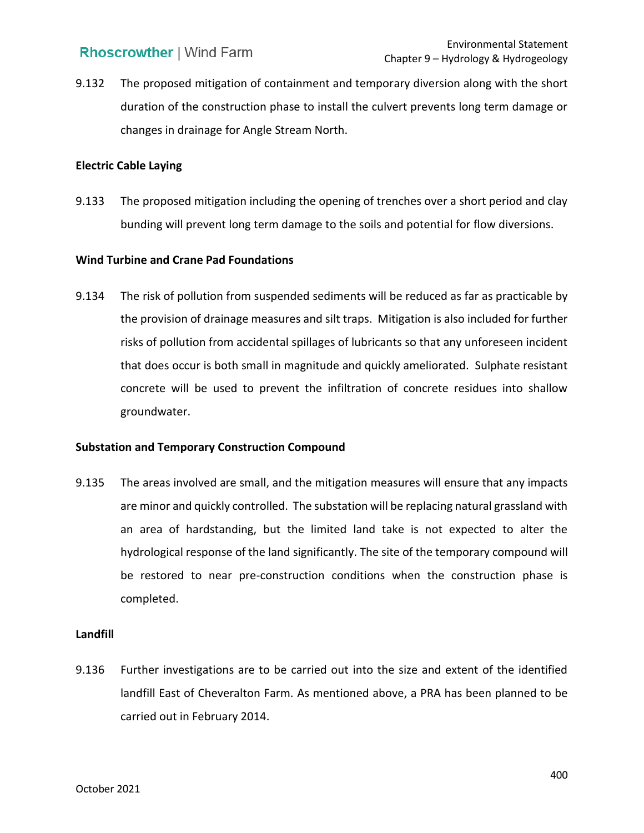9.132 The proposed mitigation of containment and temporary diversion along with the short changes in drainage for Angle Stream North. duration of the construction phase to install the culvert prevents long term damage or

### **Electric Cable Laying**

 9.133 The proposed mitigation including the opening of trenches over a short period and clay bunding will prevent long term damage to the soils and potential for flow diversions.

## **Wind Turbine and Crane Pad Foundations**

 9.134 The risk of pollution from suspended sediments will be reduced as far as practicable by the provision of drainage measures and silt traps. Mitigation is also included for further risks of pollution from accidental spillages of lubricants so that any unforeseen incident that does occur is both small in magnitude and quickly ameliorated. Sulphate resistant concrete will be used to prevent the infiltration of concrete residues into shallow groundwater.

## **Substation and Temporary Construction Compound**

 9.135 The areas involved are small, and the mitigation measures will ensure that any impacts are minor and quickly controlled. The substation will be replacing natural grassland with an area of hardstanding, but the limited land take is not expected to alter the hydrological response of the land significantly. The site of the temporary compound will be restored to near pre-construction conditions when the construction phase is completed.

#### **Landfill**

 9.136 Further investigations are to be carried out into the size and extent of the identified landfill East of Cheveralton Farm. As mentioned above, a PRA has been planned to be carried out in February 2014.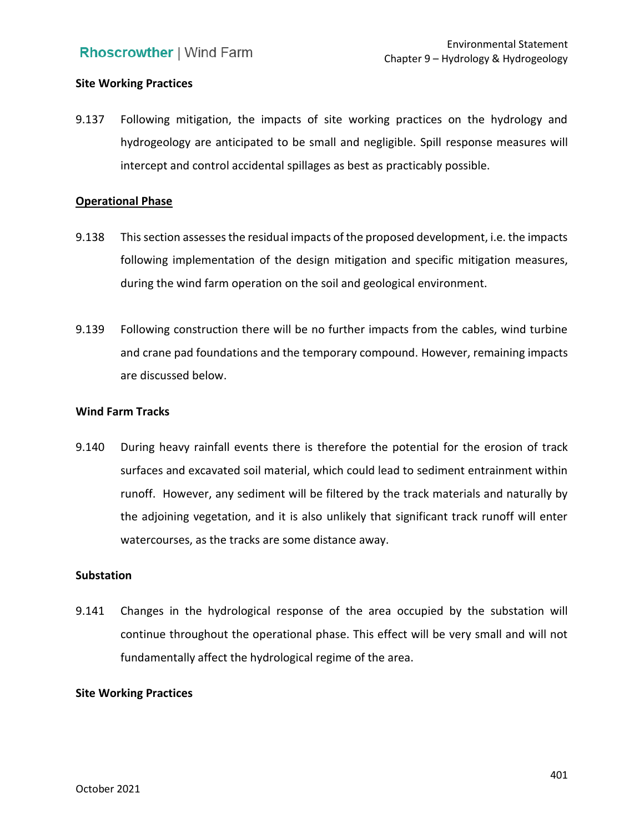## **Site Working Practices**

 9.137 Following mitigation, the impacts of site working practices on the hydrology and hydrogeology are anticipated to be small and negligible. Spill response measures will intercept and control accidental spillages as best as practicably possible.

#### **Operational Phase**

- 9.138 This section assesses the residual impacts of the proposed development, i.e. the impacts following implementation of the design mitigation and specific mitigation measures, during the wind farm operation on the soil and geological environment.
- 9.139 Following construction there will be no further impacts from the cables, wind turbine and crane pad foundations and the temporary compound. However, remaining impacts are discussed below.

#### **Wind Farm Tracks**

 9.140 During heavy rainfall events there is therefore the potential for the erosion of track surfaces and excavated soil material, which could lead to sediment entrainment within runoff. However, any sediment will be filtered by the track materials and naturally by the adjoining vegetation, and it is also unlikely that significant track runoff will enter watercourses, as the tracks are some distance away.

#### **Substation**

 9.141 Changes in the hydrological response of the area occupied by the substation will continue throughout the operational phase. This effect will be very small and will not fundamentally affect the hydrological regime of the area.

### **Site Working Practices**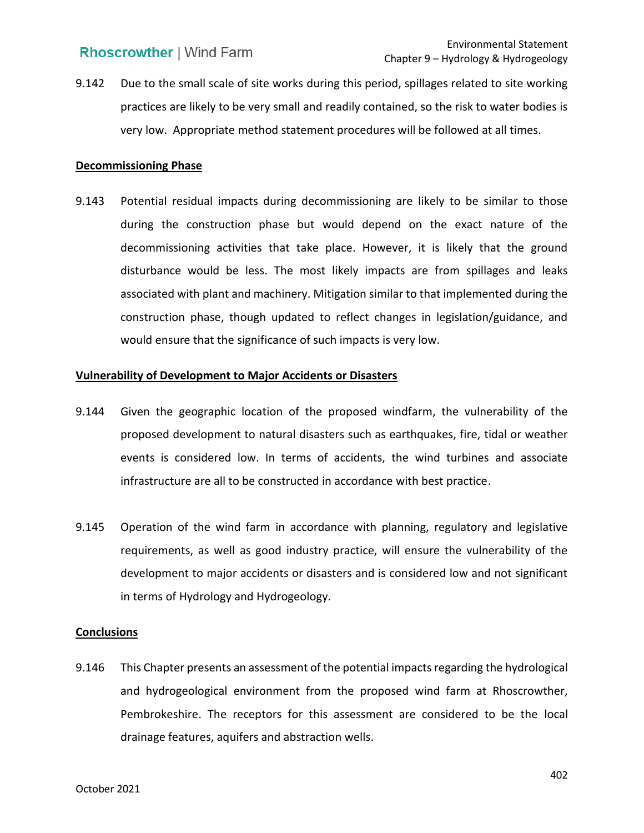9.142 Due to the small scale of site works during this period, spillages related to site working practices are likely to be very small and readily contained, so the risk to water bodies is very low. Appropriate method statement procedures will be followed at all times.

#### **Decommissioning Phase**

 during the construction phase but would depend on the exact nature of the decommissioning activities that take place. However, it is likely that the ground disturbance would be less. The most likely impacts are from spillages and leaks associated with plant and machinery. Mitigation similar to that implemented during the construction phase, though updated to reflect changes in legislation/guidance, and would ensure that the significance of such impacts is very low. 9.143 Potential residual impacts during decommissioning are likely to be similar to those

### **Vulnerability of Development to Major Accidents or Disasters**

- 9.144 Given the geographic location of the proposed windfarm, the vulnerability of the proposed development to natural disasters such as earthquakes, fire, tidal or weather events is considered low. In terms of accidents, the wind turbines and associate infrastructure are all to be constructed in accordance with best practice.
- 9.145 Operation of the wind farm in accordance with planning, regulatory and legislative requirements, as well as good industry practice, will ensure the vulnerability of the development to major accidents or disasters and is considered low and not significant in terms of Hydrology and Hydrogeology.

### **Conclusions**

 9.146 This Chapter presents an assessment of the potential impacts regarding the hydrological and hydrogeological environment from the proposed wind farm at Rhoscrowther, Pembrokeshire. The receptors for this assessment are considered to be the local drainage features, aquifers and abstraction wells.